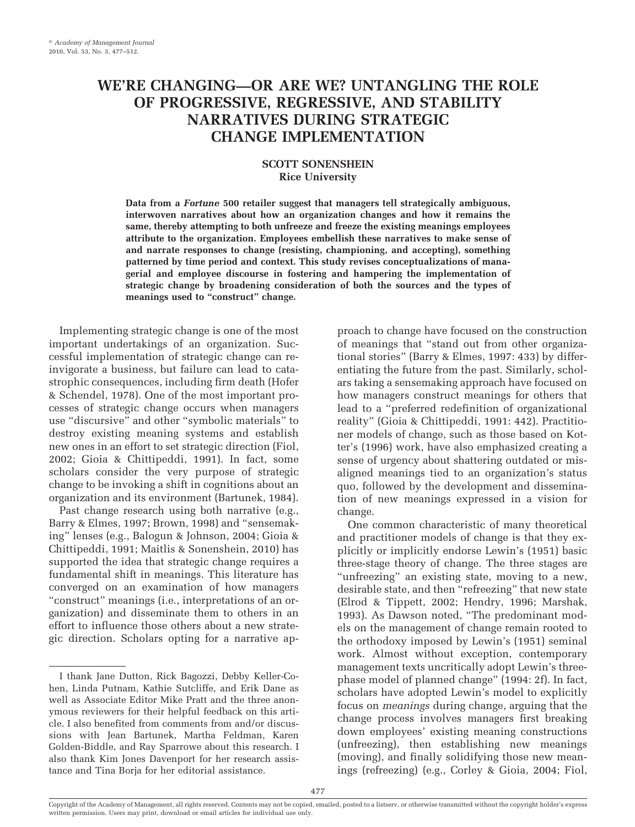# **WE'RE CHANGING—OR ARE WE? UNTANGLING THE ROLE OF PROGRESSIVE, REGRESSIVE, AND STABILITY NARRATIVES DURING STRATEGIC CHANGE IMPLEMENTATION**

# **SCOTT SONENSHEIN Rice University**

**Data from a** *Fortune* **500 retailer suggest that managers tell strategically ambiguous, interwoven narratives about how an organization changes and how it remains the same, thereby attempting to both unfreeze and freeze the existing meanings employees attribute to the organization. Employees embellish these narratives to make sense of and narrate responses to change (resisting, championing, and accepting), something patterned by time period and context. This study revises conceptualizations of managerial and employee discourse in fostering and hampering the implementation of strategic change by broadening consideration of both the sources and the types of meanings used to "construct" change.**

Implementing strategic change is one of the most important undertakings of an organization. Successful implementation of strategic change can reinvigorate a business, but failure can lead to catastrophic consequences, including firm death (Hofer & Schendel, 1978). One of the most important processes of strategic change occurs when managers use "discursive" and other "symbolic materials" to destroy existing meaning systems and establish new ones in an effort to set strategic direction (Fiol, 2002; Gioia & Chittipeddi, 1991). In fact, some scholars consider the very purpose of strategic change to be invoking a shift in cognitions about an organization and its environment (Bartunek, 1984).

Past change research using both narrative (e.g., Barry & Elmes, 1997; Brown, 1998) and "sensemaking" lenses (e.g., Balogun & Johnson, 2004; Gioia & Chittipeddi, 1991; Maitlis & Sonenshein, 2010) has supported the idea that strategic change requires a fundamental shift in meanings. This literature has converged on an examination of how managers "construct" meanings (i.e., interpretations of an organization) and disseminate them to others in an effort to influence those others about a new strategic direction. Scholars opting for a narrative approach to change have focused on the construction of meanings that "stand out from other organizational stories" (Barry & Elmes, 1997: 433) by differentiating the future from the past. Similarly, scholars taking a sensemaking approach have focused on how managers construct meanings for others that lead to a "preferred redefinition of organizational reality" (Gioia & Chittipeddi, 1991: 442). Practitioner models of change, such as those based on Kotter's (1996) work, have also emphasized creating a sense of urgency about shattering outdated or misaligned meanings tied to an organization's status quo, followed by the development and dissemination of new meanings expressed in a vision for change.

One common characteristic of many theoretical and practitioner models of change is that they explicitly or implicitly endorse Lewin's (1951) basic three-stage theory of change. The three stages are "unfreezing" an existing state, moving to a new, desirable state, and then "refreezing" that new state (Elrod & Tippett, 2002; Hendry, 1996; Marshak, 1993). As Dawson noted, "The predominant models on the management of change remain rooted to the orthodoxy imposed by Lewin's (1951) seminal work. Almost without exception, contemporary management texts uncritically adopt Lewin's threephase model of planned change" (1994: 2f). In fact, scholars have adopted Lewin's model to explicitly focus on *meanings* during change, arguing that the change process involves managers first breaking down employees' existing meaning constructions (unfreezing), then establishing new meanings (moving), and finally solidifying those new meanings (refreezing) (e.g., Corley & Gioia, 2004; Fiol,

I thank Jane Dutton, Rick Bagozzi, Debby Keller-Cohen, Linda Putnam, Kathie Sutcliffe, and Erik Dane as well as Associate Editor Mike Pratt and the three anonymous reviewers for their helpful feedback on this article. I also benefited from comments from and/or discussions with Jean Bartunek, Martha Feldman, Karen Golden-Biddle, and Ray Sparrowe about this research. I also thank Kim Jones Davenport for her research assistance and Tina Borja for her editorial assistance.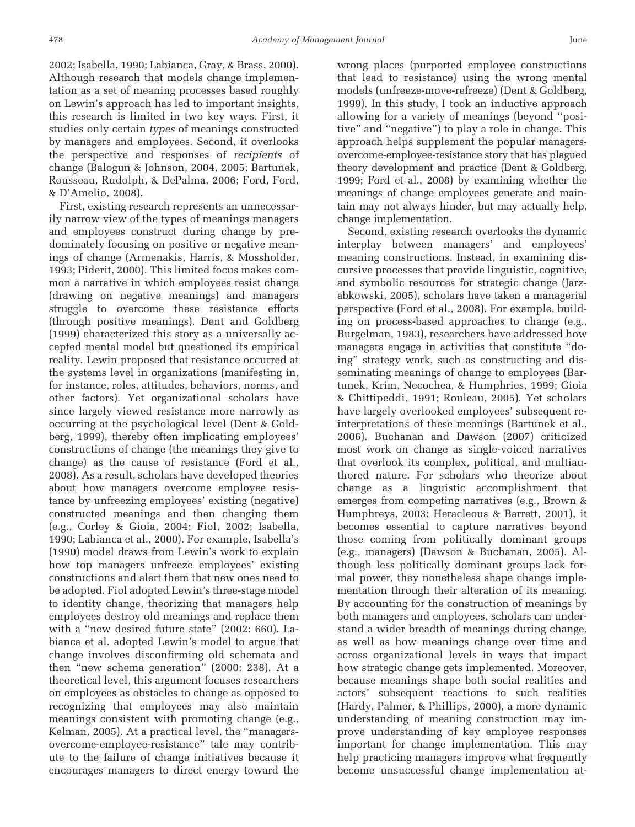2002; Isabella, 1990; Labianca, Gray, & Brass, 2000). Although research that models change implementation as a set of meaning processes based roughly on Lewin's approach has led to important insights, this research is limited in two key ways. First, it studies only certain *types* of meanings constructed by managers and employees. Second, it overlooks the perspective and responses of *recipients* of change (Balogun & Johnson, 2004, 2005; Bartunek, Rousseau, Rudolph, & DePalma, 2006; Ford, Ford, & D'Amelio, 2008).

First, existing research represents an unnecessarily narrow view of the types of meanings managers and employees construct during change by predominately focusing on positive or negative meanings of change (Armenakis, Harris, & Mossholder, 1993; Piderit, 2000). This limited focus makes common a narrative in which employees resist change (drawing on negative meanings) and managers struggle to overcome these resistance efforts (through positive meanings). Dent and Goldberg (1999) characterized this story as a universally accepted mental model but questioned its empirical reality. Lewin proposed that resistance occurred at the systems level in organizations (manifesting in, for instance, roles, attitudes, behaviors, norms, and other factors). Yet organizational scholars have since largely viewed resistance more narrowly as occurring at the psychological level (Dent & Goldberg, 1999), thereby often implicating employees' constructions of change (the meanings they give to change) as the cause of resistance (Ford et al., 2008). As a result, scholars have developed theories about how managers overcome employee resistance by unfreezing employees' existing (negative) constructed meanings and then changing them (e.g., Corley & Gioia, 2004; Fiol, 2002; Isabella, 1990; Labianca et al., 2000). For example, Isabella's (1990) model draws from Lewin's work to explain how top managers unfreeze employees' existing constructions and alert them that new ones need to be adopted. Fiol adopted Lewin's three-stage model to identity change, theorizing that managers help employees destroy old meanings and replace them with a "new desired future state" (2002: 660). Labianca et al. adopted Lewin's model to argue that change involves disconfirming old schemata and then "new schema generation" (2000: 238). At a theoretical level, this argument focuses researchers on employees as obstacles to change as opposed to recognizing that employees may also maintain meanings consistent with promoting change (e.g., Kelman, 2005). At a practical level, the "managersovercome-employee-resistance" tale may contribute to the failure of change initiatives because it encourages managers to direct energy toward the

wrong places (purported employee constructions that lead to resistance) using the wrong mental models (unfreeze-move-refreeze) (Dent & Goldberg, 1999). In this study, I took an inductive approach allowing for a variety of meanings (beyond "positive" and "negative") to play a role in change. This approach helps supplement the popular managersovercome-employee-resistance story that has plagued theory development and practice (Dent & Goldberg, 1999; Ford et al., 2008) by examining whether the meanings of change employees generate and maintain may not always hinder, but may actually help, change implementation.

Second, existing research overlooks the dynamic interplay between managers' and employees' meaning constructions. Instead, in examining discursive processes that provide linguistic, cognitive, and symbolic resources for strategic change (Jarzabkowski, 2005), scholars have taken a managerial perspective (Ford et al., 2008). For example, building on process-based approaches to change (e.g., Burgelman, 1983), researchers have addressed how managers engage in activities that constitute "doing" strategy work, such as constructing and disseminating meanings of change to employees (Bartunek, Krim, Necochea, & Humphries, 1999; Gioia & Chittipeddi, 1991; Rouleau, 2005). Yet scholars have largely overlooked employees' subsequent reinterpretations of these meanings (Bartunek et al., 2006). Buchanan and Dawson (2007) criticized most work on change as single-voiced narratives that overlook its complex, political, and multiauthored nature. For scholars who theorize about change as a linguistic accomplishment that emerges from competing narratives (e.g., Brown & Humphreys, 2003; Heracleous & Barrett, 2001), it becomes essential to capture narratives beyond those coming from politically dominant groups (e.g., managers) (Dawson & Buchanan, 2005). Although less politically dominant groups lack formal power, they nonetheless shape change implementation through their alteration of its meaning. By accounting for the construction of meanings by both managers and employees, scholars can understand a wider breadth of meanings during change, as well as how meanings change over time and across organizational levels in ways that impact how strategic change gets implemented. Moreover, because meanings shape both social realities and actors' subsequent reactions to such realities (Hardy, Palmer, & Phillips, 2000), a more dynamic understanding of meaning construction may improve understanding of key employee responses important for change implementation. This may help practicing managers improve what frequently become unsuccessful change implementation at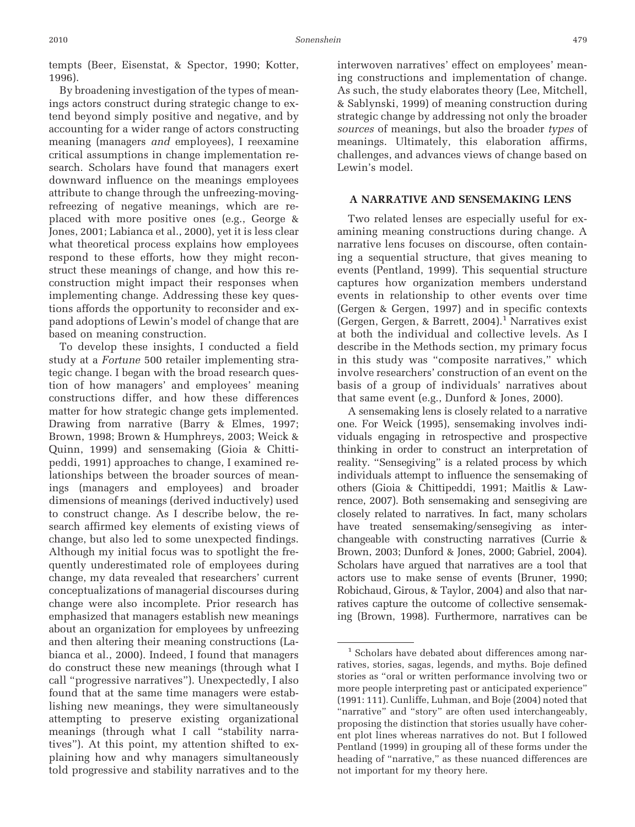tempts (Beer, Eisenstat, & Spector, 1990; Kotter, 1996).

By broadening investigation of the types of meanings actors construct during strategic change to extend beyond simply positive and negative, and by accounting for a wider range of actors constructing meaning (managers *and* employees), I reexamine critical assumptions in change implementation research. Scholars have found that managers exert downward influence on the meanings employees attribute to change through the unfreezing-movingrefreezing of negative meanings, which are replaced with more positive ones (e.g., George & Jones, 2001; Labianca et al., 2000), yet it is less clear what theoretical process explains how employees respond to these efforts, how they might reconstruct these meanings of change, and how this reconstruction might impact their responses when implementing change. Addressing these key questions affords the opportunity to reconsider and expand adoptions of Lewin's model of change that are based on meaning construction.

To develop these insights, I conducted a field study at a *Fortune* 500 retailer implementing strategic change. I began with the broad research question of how managers' and employees' meaning constructions differ, and how these differences matter for how strategic change gets implemented. Drawing from narrative (Barry & Elmes, 1997; Brown, 1998; Brown & Humphreys, 2003; Weick & Quinn, 1999) and sensemaking (Gioia & Chittipeddi, 1991) approaches to change, I examined relationships between the broader sources of meanings (managers and employees) and broader dimensions of meanings (derived inductively) used to construct change. As I describe below, the research affirmed key elements of existing views of change, but also led to some unexpected findings. Although my initial focus was to spotlight the frequently underestimated role of employees during change, my data revealed that researchers' current conceptualizations of managerial discourses during change were also incomplete. Prior research has emphasized that managers establish new meanings about an organization for employees by unfreezing and then altering their meaning constructions (Labianca et al., 2000). Indeed, I found that managers do construct these new meanings (through what I call "progressive narratives"). Unexpectedly, I also found that at the same time managers were establishing new meanings, they were simultaneously attempting to preserve existing organizational meanings (through what I call "stability narratives"). At this point, my attention shifted to explaining how and why managers simultaneously told progressive and stability narratives and to the

interwoven narratives' effect on employees' meaning constructions and implementation of change. As such, the study elaborates theory (Lee, Mitchell, & Sablynski, 1999) of meaning construction during strategic change by addressing not only the broader *sources* of meanings, but also the broader *types* of meanings. Ultimately, this elaboration affirms, challenges, and advances views of change based on Lewin's model.

# **A NARRATIVE AND SENSEMAKING LENS**

Two related lenses are especially useful for examining meaning constructions during change. A narrative lens focuses on discourse, often containing a sequential structure, that gives meaning to events (Pentland, 1999). This sequential structure captures how organization members understand events in relationship to other events over time (Gergen & Gergen, 1997) and in specific contexts (Gergen, Gergen, & Barrett, 2004).<sup>1</sup> Narratives exist at both the individual and collective levels. As I describe in the Methods section, my primary focus in this study was "composite narratives," which involve researchers' construction of an event on the basis of a group of individuals' narratives about that same event (e.g., Dunford & Jones, 2000).

A sensemaking lens is closely related to a narrative one. For Weick (1995), sensemaking involves individuals engaging in retrospective and prospective thinking in order to construct an interpretation of reality. "Sensegiving" is a related process by which individuals attempt to influence the sensemaking of others (Gioia & Chittipeddi, 1991; Maitlis & Lawrence, 2007). Both sensemaking and sensegiving are closely related to narratives. In fact, many scholars have treated sensemaking/sensegiving as interchangeable with constructing narratives (Currie & Brown, 2003; Dunford & Jones, 2000; Gabriel, 2004). Scholars have argued that narratives are a tool that actors use to make sense of events (Bruner, 1990; Robichaud, Girous, & Taylor, 2004) and also that narratives capture the outcome of collective sensemaking (Brown, 1998). Furthermore, narratives can be

<sup>&</sup>lt;sup>1</sup> Scholars have debated about differences among narratives, stories, sagas, legends, and myths. Boje defined stories as "oral or written performance involving two or more people interpreting past or anticipated experience" (1991: 111). Cunliffe, Luhman, and Boje (2004) noted that "narrative" and "story" are often used interchangeably, proposing the distinction that stories usually have coherent plot lines whereas narratives do not. But I followed Pentland (1999) in grouping all of these forms under the heading of "narrative," as these nuanced differences are not important for my theory here.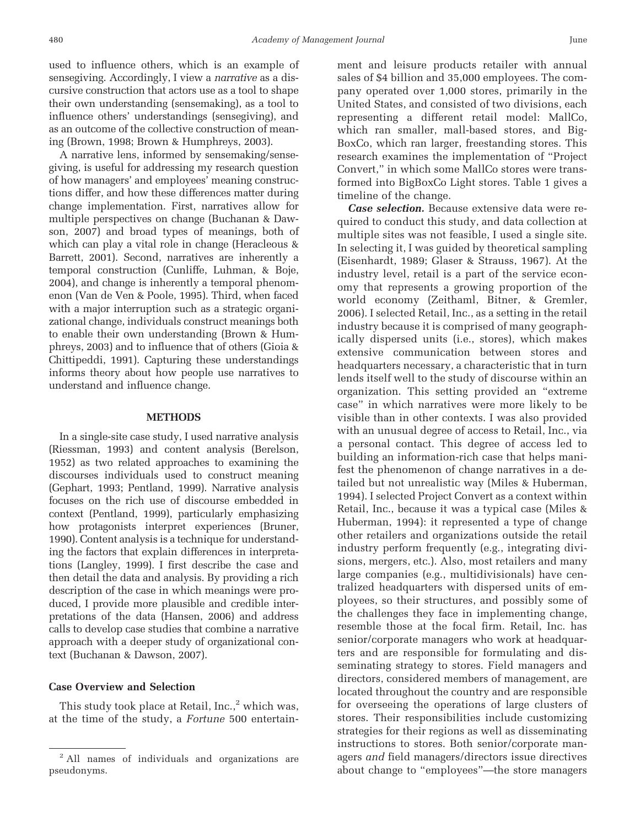used to influence others, which is an example of sensegiving. Accordingly, I view a *narrative* as a discursive construction that actors use as a tool to shape their own understanding (sensemaking), as a tool to influence others' understandings (sensegiving), and as an outcome of the collective construction of meaning (Brown, 1998; Brown & Humphreys, 2003).

A narrative lens, informed by sensemaking/sensegiving, is useful for addressing my research question of how managers' and employees' meaning constructions differ, and how these differences matter during change implementation. First, narratives allow for multiple perspectives on change (Buchanan & Dawson, 2007) and broad types of meanings, both of which can play a vital role in change (Heracleous & Barrett, 2001). Second, narratives are inherently a temporal construction (Cunliffe, Luhman, & Boje, 2004), and change is inherently a temporal phenomenon (Van de Ven & Poole, 1995). Third, when faced with a major interruption such as a strategic organizational change, individuals construct meanings both to enable their own understanding (Brown & Humphreys, 2003) and to influence that of others (Gioia & Chittipeddi, 1991). Capturing these understandings informs theory about how people use narratives to understand and influence change.

#### **METHODS**

In a single-site case study, I used narrative analysis (Riessman, 1993) and content analysis (Berelson, 1952) as two related approaches to examining the discourses individuals used to construct meaning (Gephart, 1993; Pentland, 1999). Narrative analysis focuses on the rich use of discourse embedded in context (Pentland, 1999), particularly emphasizing how protagonists interpret experiences (Bruner, 1990). Content analysis is a technique for understanding the factors that explain differences in interpretations (Langley, 1999). I first describe the case and then detail the data and analysis. By providing a rich description of the case in which meanings were produced, I provide more plausible and credible interpretations of the data (Hansen, 2006) and address calls to develop case studies that combine a narrative approach with a deeper study of organizational context (Buchanan & Dawson, 2007).

## **Case Overview and Selection**

This study took place at Retail, Inc.,<sup>2</sup> which was, at the time of the study, a *Fortune* 500 entertainment and leisure products retailer with annual sales of \$4 billion and 35,000 employees. The company operated over 1,000 stores, primarily in the United States, and consisted of two divisions, each representing a different retail model: MallCo, which ran smaller, mall-based stores, and Big-BoxCo, which ran larger, freestanding stores. This research examines the implementation of "Project Convert," in which some MallCo stores were transformed into BigBoxCo Light stores. Table 1 gives a timeline of the change.

*Case selection.* Because extensive data were required to conduct this study, and data collection at multiple sites was not feasible, I used a single site. In selecting it, I was guided by theoretical sampling (Eisenhardt, 1989; Glaser & Strauss, 1967). At the industry level, retail is a part of the service economy that represents a growing proportion of the world economy (Zeithaml, Bitner, & Gremler, 2006). I selected Retail, Inc., as a setting in the retail industry because it is comprised of many geographically dispersed units (i.e., stores), which makes extensive communication between stores and headquarters necessary, a characteristic that in turn lends itself well to the study of discourse within an organization. This setting provided an "extreme case" in which narratives were more likely to be visible than in other contexts. I was also provided with an unusual degree of access to Retail, Inc., via a personal contact. This degree of access led to building an information-rich case that helps manifest the phenomenon of change narratives in a detailed but not unrealistic way (Miles & Huberman, 1994). I selected Project Convert as a context within Retail, Inc., because it was a typical case (Miles & Huberman, 1994): it represented a type of change other retailers and organizations outside the retail industry perform frequently (e.g., integrating divisions, mergers, etc.). Also, most retailers and many large companies (e.g., multidivisionals) have centralized headquarters with dispersed units of employees, so their structures, and possibly some of the challenges they face in implementing change, resemble those at the focal firm. Retail, Inc. has senior/corporate managers who work at headquarters and are responsible for formulating and disseminating strategy to stores. Field managers and directors, considered members of management, are located throughout the country and are responsible for overseeing the operations of large clusters of stores. Their responsibilities include customizing strategies for their regions as well as disseminating instructions to stores. Both senior/corporate managers *and* field managers/directors issue directives about change to "employees"—the store managers

<sup>&</sup>lt;sup>2</sup> All names of individuals and organizations are pseudonyms.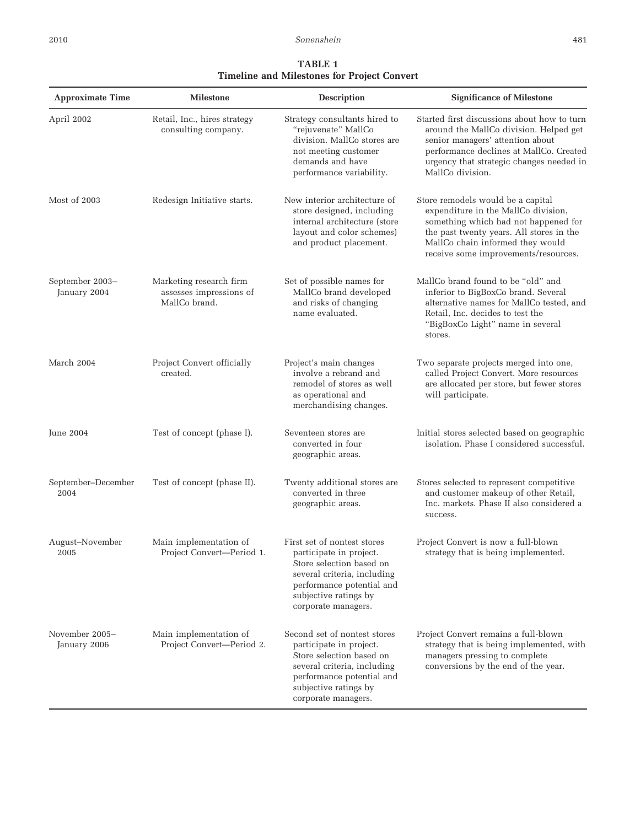#### 2010 *Sonenshein* 481

| <b>Approximate Time</b>         | <b>Milestone</b>                                                    | <b>Description</b>                                                                                                                                          | <b>Significance of Milestone</b>                                                                                                                                                                                                         |
|---------------------------------|---------------------------------------------------------------------|-------------------------------------------------------------------------------------------------------------------------------------------------------------|------------------------------------------------------------------------------------------------------------------------------------------------------------------------------------------------------------------------------------------|
| April 2002                      | Retail, Inc., hires strategy<br>consulting company.                 | Strategy consultants hired to<br>"rejuvenate" MallCo<br>division. MallCo stores are<br>not meeting customer<br>demands and have<br>performance variability. | Started first discussions about how to turn<br>around the MallCo division. Helped get<br>senior managers' attention about<br>performance declines at MallCo. Created<br>urgency that strategic changes needed in<br>MallCo division.     |
| Most of 2003                    | Redesign Initiative starts.                                         | New interior architecture of<br>store designed, including<br>internal architecture (store<br>layout and color schemes)<br>and product placement.            | Store remodels would be a capital<br>expenditure in the MallCo division,<br>something which had not happened for<br>the past twenty years. All stores in the<br>MallCo chain informed they would<br>receive some improvements/resources. |
| September 2003–<br>January 2004 | Marketing research firm<br>assesses impressions of<br>MallCo brand. | Set of possible names for<br>MallCo brand developed<br>and risks of changing<br>name evaluated.                                                             | MallCo brand found to be "old" and<br>inferior to BigBoxCo brand. Several<br>alternative names for MallCo tested, and<br>Retail, Inc. decides to test the<br>"BigBoxCo Light" name in several<br>stores.                                 |
| March 2004                      | Project Convert officially<br>created.                              | Project's main changes<br>involve a rebrand and<br>remodel of stores as well<br>as operational and<br>merchandising changes.                                | Two separate projects merged into one,<br>called Project Convert. More resources<br>are allocated per store, but fewer stores<br>will participate.                                                                                       |
| June 2004                       | Test of concept (phase I).                                          | Seventeen stores are<br>converted in four<br>geographic areas.                                                                                              | Initial stores selected based on geographic<br>isolation. Phase I considered successful.                                                                                                                                                 |
| September–December<br>2004      | Test of concept (phase II).                                         | Twenty additional stores are<br>converted in three<br>geographic areas.                                                                                     | Stores selected to represent competitive<br>and customer makeup of other Retail,<br>Inc. markets. Phase II also considered a<br>success.                                                                                                 |
| August–November<br>2005         | Main implementation of<br>Project Convert-Period 1.                 | First set of nontest stores<br>participate in project.<br>Store selection based on<br>several criteria, including                                           | Project Convert is now a full-blown<br>strategy that is being implemented.                                                                                                                                                               |

**Timeline and Milestones for Project Convert**

|                                |                                                     | performance potential and<br>subjective ratings by<br>corporate managers.                                                                                                                       |                                                                                                                                                          |
|--------------------------------|-----------------------------------------------------|-------------------------------------------------------------------------------------------------------------------------------------------------------------------------------------------------|----------------------------------------------------------------------------------------------------------------------------------------------------------|
| November 2005–<br>January 2006 | Main implementation of<br>Project Convert-Period 2. | Second set of nontest stores<br>participate in project.<br>Store selection based on<br>several criteria, including<br>performance potential and<br>subjective ratings by<br>corporate managers. | Project Convert remains a full-blown<br>strategy that is being implemented, with<br>managers pressing to complete<br>conversions by the end of the year. |
|                                |                                                     |                                                                                                                                                                                                 |                                                                                                                                                          |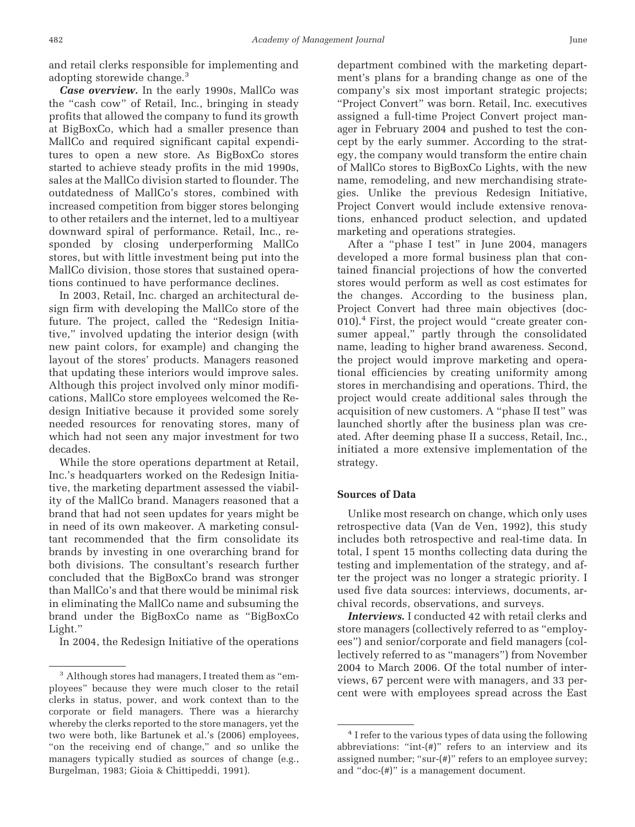and retail clerks responsible for implementing and adopting storewide change.<sup>3</sup>

*Case overview.* In the early 1990s, MallCo was the "cash cow" of Retail, Inc., bringing in steady profits that allowed the company to fund its growth at BigBoxCo, which had a smaller presence than MallCo and required significant capital expenditures to open a new store. As BigBoxCo stores started to achieve steady profits in the mid 1990s, sales at the MallCo division started to flounder. The outdatedness of MallCo's stores, combined with increased competition from bigger stores belonging to other retailers and the internet, led to a multiyear downward spiral of performance. Retail, Inc., responded by closing underperforming MallCo stores, but with little investment being put into the MallCo division, those stores that sustained operations continued to have performance declines.

In 2003, Retail, Inc. charged an architectural design firm with developing the MallCo store of the future. The project, called the "Redesign Initiative," involved updating the interior design (with new paint colors, for example) and changing the layout of the stores' products. Managers reasoned that updating these interiors would improve sales. Although this project involved only minor modifications, MallCo store employees welcomed the Redesign Initiative because it provided some sorely needed resources for renovating stores, many of which had not seen any major investment for two decades.

While the store operations department at Retail, Inc.'s headquarters worked on the Redesign Initiative, the marketing department assessed the viability of the MallCo brand. Managers reasoned that a brand that had not seen updates for years might be in need of its own makeover. A marketing consultant recommended that the firm consolidate its brands by investing in one overarching brand for both divisions. The consultant's research further concluded that the BigBoxCo brand was stronger than MallCo's and that there would be minimal risk in eliminating the MallCo name and subsuming the brand under the BigBoxCo name as "BigBoxCo Light."

In 2004, the Redesign Initiative of the operations

department combined with the marketing department's plans for a branding change as one of the company's six most important strategic projects; "Project Convert" was born. Retail, Inc. executives assigned a full-time Project Convert project manager in February 2004 and pushed to test the concept by the early summer. According to the strategy, the company would transform the entire chain of MallCo stores to BigBoxCo Lights, with the new name, remodeling, and new merchandising strategies. Unlike the previous Redesign Initiative, Project Convert would include extensive renovations, enhanced product selection, and updated marketing and operations strategies.

After a "phase I test" in June 2004, managers developed a more formal business plan that contained financial projections of how the converted stores would perform as well as cost estimates for the changes. According to the business plan, Project Convert had three main objectives (doc-010).4 First, the project would "create greater consumer appeal," partly through the consolidated name, leading to higher brand awareness. Second, the project would improve marketing and operational efficiencies by creating uniformity among stores in merchandising and operations. Third, the project would create additional sales through the acquisition of new customers. A "phase II test" was launched shortly after the business plan was created. After deeming phase II a success, Retail, Inc., initiated a more extensive implementation of the strategy.

#### **Sources of Data**

Unlike most research on change, which only uses retrospective data (Van de Ven, 1992), this study includes both retrospective and real-time data. In total, I spent 15 months collecting data during the testing and implementation of the strategy, and after the project was no longer a strategic priority. I used five data sources: interviews, documents, archival records, observations, and surveys.

*Interviews.* I conducted 42 with retail clerks and store managers (collectively referred to as "employees") and senior/corporate and field managers (collectively referred to as "managers") from November 2004 to March 2006. Of the total number of interviews, 67 percent were with managers, and 33 percent were with employees spread across the East

<sup>3</sup> Although stores had managers, I treated them as "employees" because they were much closer to the retail clerks in status, power, and work context than to the corporate or field managers. There was a hierarchy whereby the clerks reported to the store managers, yet the two were both, like Bartunek et al.'s (2006) employees, "on the receiving end of change," and so unlike the managers typically studied as sources of change (e.g., Burgelman, 1983; Gioia & Chittipeddi, 1991).

<sup>&</sup>lt;sup>4</sup> I refer to the various types of data using the following abbreviations: "int-(#)" refers to an interview and its assigned number; "sur-(#)" refers to an employee survey; and "doc-(#)" is a management document.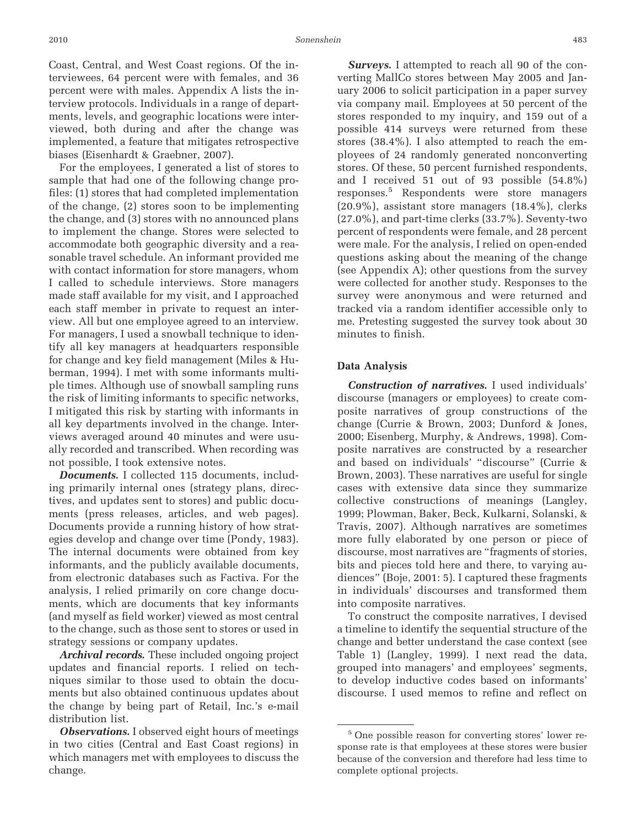Coast, Central, and West Coast regions. Of the interviewees, 64 percent were with females, and 36 percent were with males. Appendix A lists the interview protocols. Individuals in a range of departments, levels, and geographic locations were interviewed, both during and after the change was implemented, a feature that mitigates retrospective biases (Eisenhardt & Graebner, 2007).

For the employees, I generated a list of stores to sample that had one of the following change profiles: (1) stores that had completed implementation of the change, (2) stores soon to be implementing the change, and (3) stores with no announced plans to implement the change. Stores were selected to accommodate both geographic diversity and a reasonable travel schedule. An informant provided me with contact information for store managers, whom I called to schedule interviews. Store managers made staff available for my visit, and I approached each staff member in private to request an interview. All but one employee agreed to an interview. For managers, I used a snowball technique to identify all key managers at headquarters responsible for change and key field management (Miles & Huberman, 1994). I met with some informants multiple times. Although use of snowball sampling runs the risk of limiting informants to specific networks, I mitigated this risk by starting with informants in all key departments involved in the change. Interviews averaged around 40 minutes and were usually recorded and transcribed. When recording was not possible, I took extensive notes.

*Documents.* I collected 115 documents, including primarily internal ones (strategy plans, directives, and updates sent to stores) and public documents (press releases, articles, and web pages). Documents provide a running history of how strategies develop and change over time (Pondy, 1983). The internal documents were obtained from key informants, and the publicly available documents, from electronic databases such as Factiva. For the analysis, I relied primarily on core change documents, which are documents that key informants (and myself as field worker) viewed as most central to the change, such as those sent to stores or used in strategy sessions or company updates.

*Archival records.* These included ongoing project updates and financial reports. I relied on techniques similar to those used to obtain the documents but also obtained continuous updates about the change by being part of Retail, Inc.'s e-mail distribution list.

*Observations.* I observed eight hours of meetings in two cities (Central and East Coast regions) in which managers met with employees to discuss the change.

*Surveys.* I attempted to reach all 90 of the converting MallCo stores between May 2005 and January 2006 to solicit participation in a paper survey via company mail. Employees at 50 percent of the stores responded to my inquiry, and 159 out of a possible 414 surveys were returned from these stores (38.4%). I also attempted to reach the employees of 24 randomly generated nonconverting stores. Of these, 50 percent furnished respondents, and I received 51 out of 93 possible (54.8%) responses.5 Respondents were store managers (20.9%), assistant store managers (18.4%), clerks (27.0%), and part-time clerks (33.7%). Seventy-two percent of respondents were female, and 28 percent were male. For the analysis, I relied on open-ended questions asking about the meaning of the change (see Appendix A); other questions from the survey were collected for another study. Responses to the survey were anonymous and were returned and tracked via a random identifier accessible only to me. Pretesting suggested the survey took about 30 minutes to finish.

#### **Data Analysis**

*Construction of narratives.* I used individuals' discourse (managers or employees) to create composite narratives of group constructions of the change (Currie & Brown, 2003; Dunford & Jones, 2000; Eisenberg, Murphy, & Andrews, 1998). Composite narratives are constructed by a researcher and based on individuals' "discourse" (Currie & Brown, 2003). These narratives are useful for single cases with extensive data since they summarize collective constructions of meanings (Langley, 1999; Plowman, Baker, Beck, Kulkarni, Solanski, & Travis, 2007). Although narratives are sometimes more fully elaborated by one person or piece of discourse, most narratives are "fragments of stories, bits and pieces told here and there, to varying audiences" (Boje, 2001: 5). I captured these fragments in individuals' discourses and transformed them into composite narratives.

To construct the composite narratives, I devised a timeline to identify the sequential structure of the change and better understand the case context (see Table 1) (Langley, 1999). I next read the data, grouped into managers' and employees' segments, to develop inductive codes based on informants' discourse. I used memos to refine and reflect on

<sup>5</sup> One possible reason for converting stores' lower response rate is that employees at these stores were busier because of the conversion and therefore had less time to complete optional projects.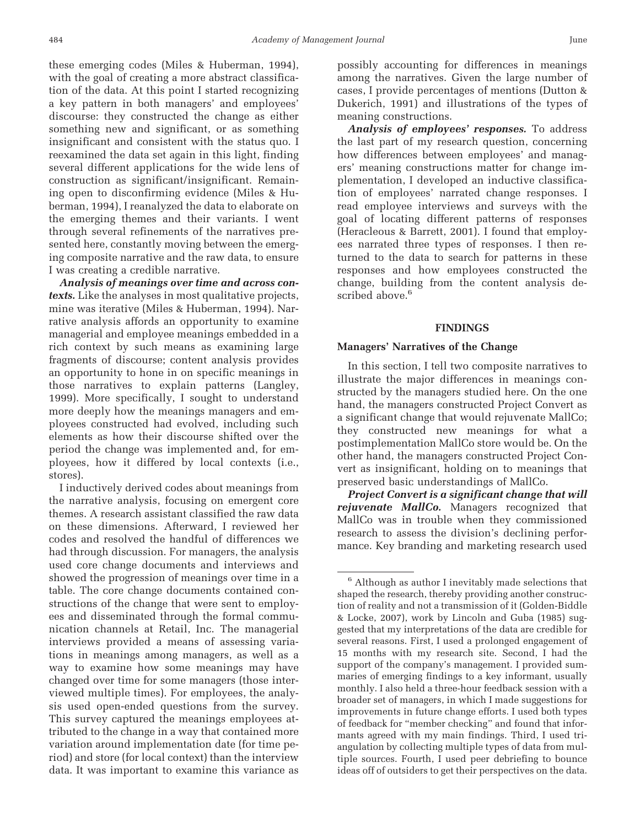these emerging codes (Miles & Huberman, 1994), with the goal of creating a more abstract classification of the data. At this point I started recognizing a key pattern in both managers' and employees' discourse: they constructed the change as either something new and significant, or as something insignificant and consistent with the status quo. I reexamined the data set again in this light, finding several different applications for the wide lens of construction as significant/insignificant. Remaining open to disconfirming evidence (Miles & Huberman, 1994), I reanalyzed the data to elaborate on the emerging themes and their variants. I went through several refinements of the narratives presented here, constantly moving between the emerging composite narrative and the raw data, to ensure I was creating a credible narrative.

*Analysis of meanings over time and across contexts.* Like the analyses in most qualitative projects, mine was iterative (Miles & Huberman, 1994). Narrative analysis affords an opportunity to examine managerial and employee meanings embedded in a rich context by such means as examining large fragments of discourse; content analysis provides an opportunity to hone in on specific meanings in those narratives to explain patterns (Langley, 1999). More specifically, I sought to understand more deeply how the meanings managers and employees constructed had evolved, including such elements as how their discourse shifted over the period the change was implemented and, for employees, how it differed by local contexts (i.e., stores).

I inductively derived codes about meanings from the narrative analysis, focusing on emergent core themes. A research assistant classified the raw data on these dimensions. Afterward, I reviewed her codes and resolved the handful of differences we had through discussion. For managers, the analysis used core change documents and interviews and showed the progression of meanings over time in a table. The core change documents contained constructions of the change that were sent to employees and disseminated through the formal communication channels at Retail, Inc. The managerial interviews provided a means of assessing variations in meanings among managers, as well as a way to examine how some meanings may have changed over time for some managers (those interviewed multiple times). For employees, the analysis used open-ended questions from the survey. This survey captured the meanings employees attributed to the change in a way that contained more variation around implementation date (for time period) and store (for local context) than the interview data. It was important to examine this variance as

possibly accounting for differences in meanings among the narratives. Given the large number of cases, I provide percentages of mentions (Dutton & Dukerich, 1991) and illustrations of the types of meaning constructions.

*Analysis of employees' responses.* To address the last part of my research question, concerning how differences between employees' and managers' meaning constructions matter for change implementation, I developed an inductive classification of employees' narrated change responses. I read employee interviews and surveys with the goal of locating different patterns of responses (Heracleous & Barrett, 2001). I found that employees narrated three types of responses. I then returned to the data to search for patterns in these responses and how employees constructed the change, building from the content analysis described above.<sup>6</sup>

#### **FINDINGS**

#### **Managers' Narratives of the Change**

In this section, I tell two composite narratives to illustrate the major differences in meanings constructed by the managers studied here. On the one hand, the managers constructed Project Convert as a significant change that would rejuvenate MallCo; they constructed new meanings for what a postimplementation MallCo store would be. On the other hand, the managers constructed Project Convert as insignificant, holding on to meanings that preserved basic understandings of MallCo.

*Project Convert is a significant change that will rejuvenate MallCo.* Managers recognized that MallCo was in trouble when they commissioned research to assess the division's declining performance. Key branding and marketing research used

<sup>6</sup> Although as author I inevitably made selections that shaped the research, thereby providing another construction of reality and not a transmission of it (Golden-Biddle & Locke, 2007), work by Lincoln and Guba (1985) suggested that my interpretations of the data are credible for several reasons. First, I used a prolonged engagement of 15 months with my research site. Second, I had the support of the company's management. I provided summaries of emerging findings to a key informant, usually monthly. I also held a three-hour feedback session with a broader set of managers, in which I made suggestions for improvements in future change efforts. I used both types of feedback for "member checking" and found that informants agreed with my main findings. Third, I used triangulation by collecting multiple types of data from multiple sources. Fourth, I used peer debriefing to bounce ideas off of outsiders to get their perspectives on the data.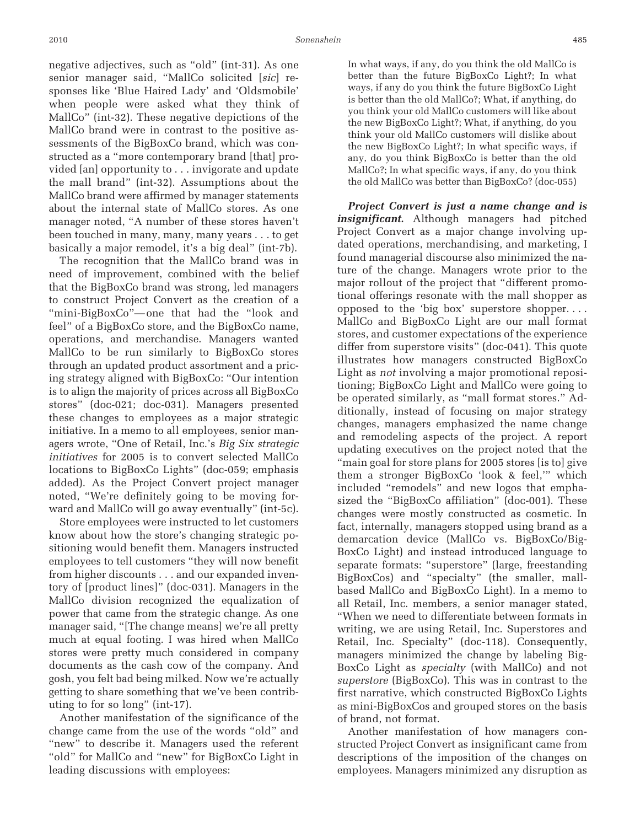negative adjectives, such as "old" (int-31). As one senior manager said, "MallCo solicited [*sic*] responses like 'Blue Haired Lady' and 'Oldsmobile' when people were asked what they think of MallCo" (int-32). These negative depictions of the MallCo brand were in contrast to the positive assessments of the BigBoxCo brand, which was constructed as a "more contemporary brand [that] provided [an] opportunity to . . . invigorate and update the mall brand" (int-32). Assumptions about the MallCo brand were affirmed by manager statements about the internal state of MallCo stores. As one manager noted, "A number of these stores haven't been touched in many, many, many years . . . to get basically a major remodel, it's a big deal" (int-7b).

The recognition that the MallCo brand was in need of improvement, combined with the belief that the BigBoxCo brand was strong, led managers to construct Project Convert as the creation of a "mini-BigBoxCo"— one that had the "look and feel" of a BigBoxCo store, and the BigBoxCo name, operations, and merchandise. Managers wanted MallCo to be run similarly to BigBoxCo stores through an updated product assortment and a pricing strategy aligned with BigBoxCo: "Our intention is to align the majority of prices across all BigBoxCo stores" (doc-021; doc-031). Managers presented these changes to employees as a major strategic initiative. In a memo to all employees, senior managers wrote, "One of Retail, Inc.'s *Big Six strategic initiatives* for 2005 is to convert selected MallCo locations to BigBoxCo Lights" (doc-059; emphasis added). As the Project Convert project manager noted, "We're definitely going to be moving forward and MallCo will go away eventually" (int-5c).

Store employees were instructed to let customers know about how the store's changing strategic positioning would benefit them. Managers instructed employees to tell customers "they will now benefit from higher discounts . . . and our expanded inventory of [product lines]" (doc-031). Managers in the MallCo division recognized the equalization of power that came from the strategic change. As one manager said, "[The change means] we're all pretty much at equal footing. I was hired when MallCo stores were pretty much considered in company documents as the cash cow of the company. And gosh, you felt bad being milked. Now we're actually getting to share something that we've been contributing to for so long" (int-17).

Another manifestation of the significance of the change came from the use of the words "old" and "new" to describe it. Managers used the referent "old" for MallCo and "new" for BigBoxCo Light in leading discussions with employees:

In what ways, if any, do you think the old MallCo is better than the future BigBoxCo Light?; In what ways, if any do you think the future BigBoxCo Light is better than the old MallCo?; What, if anything, do you think your old MallCo customers will like about the new BigBoxCo Light?; What, if anything, do you think your old MallCo customers will dislike about the new BigBoxCo Light?; In what specific ways, if any, do you think BigBoxCo is better than the old MallCo?; In what specific ways, if any, do you think the old MallCo was better than BigBoxCo? (doc-055)

*Project Convert is just a name change and is insignificant.* Although managers had pitched Project Convert as a major change involving updated operations, merchandising, and marketing, I found managerial discourse also minimized the nature of the change. Managers wrote prior to the major rollout of the project that "different promotional offerings resonate with the mall shopper as opposed to the 'big box' superstore shopper.... MallCo and BigBoxCo Light are our mall format stores, and customer expectations of the experience differ from superstore visits" (doc-041). This quote illustrates how managers constructed BigBoxCo Light as *not* involving a major promotional repositioning; BigBoxCo Light and MallCo were going to be operated similarly, as "mall format stores." Additionally, instead of focusing on major strategy changes, managers emphasized the name change and remodeling aspects of the project. A report updating executives on the project noted that the "main goal for store plans for 2005 stores [is to] give them a stronger BigBoxCo 'look & feel,'" which included "remodels" and new logos that emphasized the "BigBoxCo affiliation" (doc-001). These changes were mostly constructed as cosmetic. In fact, internally, managers stopped using brand as a demarcation device (MallCo vs. BigBoxCo/Big-BoxCo Light) and instead introduced language to separate formats: "superstore" (large, freestanding BigBoxCos) and "specialty" (the smaller, mallbased MallCo and BigBoxCo Light). In a memo to all Retail, Inc. members, a senior manager stated, "When we need to differentiate between formats in writing, we are using Retail, Inc. Superstores and Retail, Inc. Specialty" (doc-118). Consequently, managers minimized the change by labeling Big-BoxCo Light as *specialty* (with MallCo) and not *superstore* (BigBoxCo). This was in contrast to the first narrative, which constructed BigBoxCo Lights as mini-BigBoxCos and grouped stores on the basis of brand, not format.

Another manifestation of how managers constructed Project Convert as insignificant came from descriptions of the imposition of the changes on employees. Managers minimized any disruption as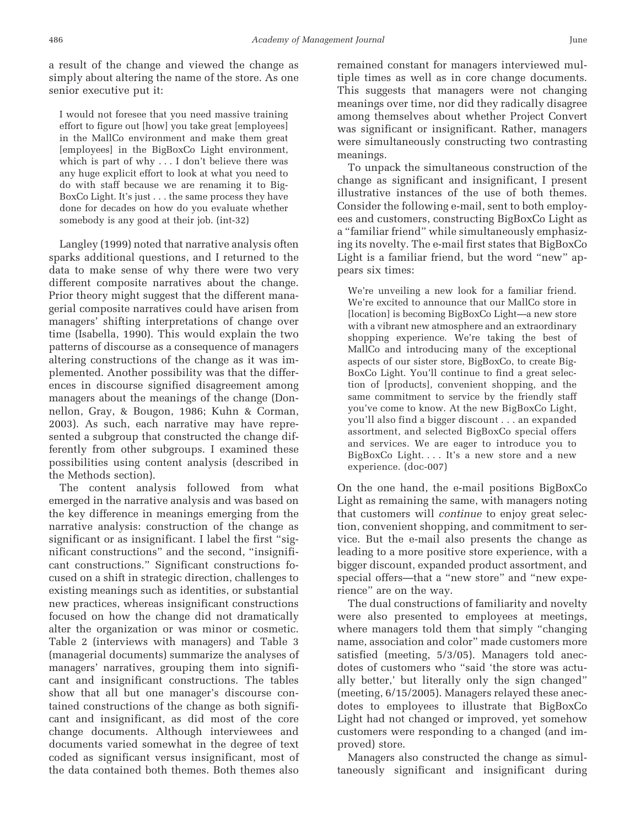a result of the change and viewed the change as simply about altering the name of the store. As one senior executive put it:

I would not foresee that you need massive training effort to figure out [how] you take great [employees] in the MallCo environment and make them great [employees] in the BigBoxCo Light environment, which is part of why . . . I don't believe there was any huge explicit effort to look at what you need to do with staff because we are renaming it to Big-BoxCo Light. It's just . . . the same process they have done for decades on how do you evaluate whether somebody is any good at their job. (int-32)

Langley (1999) noted that narrative analysis often sparks additional questions, and I returned to the data to make sense of why there were two very different composite narratives about the change. Prior theory might suggest that the different managerial composite narratives could have arisen from managers' shifting interpretations of change over time (Isabella, 1990). This would explain the two patterns of discourse as a consequence of managers altering constructions of the change as it was implemented. Another possibility was that the differences in discourse signified disagreement among managers about the meanings of the change (Donnellon, Gray, & Bougon, 1986; Kuhn & Corman, 2003). As such, each narrative may have represented a subgroup that constructed the change differently from other subgroups. I examined these possibilities using content analysis (described in the Methods section).

The content analysis followed from what emerged in the narrative analysis and was based on the key difference in meanings emerging from the narrative analysis: construction of the change as significant or as insignificant. I label the first "significant constructions" and the second, "insignificant constructions." Significant constructions focused on a shift in strategic direction, challenges to existing meanings such as identities, or substantial new practices, whereas insignificant constructions focused on how the change did not dramatically alter the organization or was minor or cosmetic. Table 2 (interviews with managers) and Table 3 (managerial documents) summarize the analyses of managers' narratives, grouping them into significant and insignificant constructions. The tables show that all but one manager's discourse contained constructions of the change as both significant and insignificant, as did most of the core change documents. Although interviewees and documents varied somewhat in the degree of text coded as significant versus insignificant, most of the data contained both themes. Both themes also

remained constant for managers interviewed multiple times as well as in core change documents. This suggests that managers were not changing meanings over time, nor did they radically disagree among themselves about whether Project Convert was significant or insignificant. Rather, managers were simultaneously constructing two contrasting meanings.

To unpack the simultaneous construction of the change as significant and insignificant, I present illustrative instances of the use of both themes. Consider the following e-mail, sent to both employees and customers, constructing BigBoxCo Light as a "familiar friend" while simultaneously emphasizing its novelty. The e-mail first states that BigBoxCo Light is a familiar friend, but the word "new" appears six times:

We're unveiling a new look for a familiar friend. We're excited to announce that our MallCo store in [location] is becoming BigBoxCo Light—a new store with a vibrant new atmosphere and an extraordinary shopping experience. We're taking the best of MallCo and introducing many of the exceptional aspects of our sister store, BigBoxCo, to create Big-BoxCo Light. You'll continue to find a great selection of [products], convenient shopping, and the same commitment to service by the friendly staff you've come to know. At the new BigBoxCo Light, you'll also find a bigger discount . . . an expanded assortment, and selected BigBoxCo special offers and services. We are eager to introduce you to BigBoxCo Light.... It's a new store and a new experience. (doc-007)

On the one hand, the e-mail positions BigBoxCo Light as remaining the same, with managers noting that customers will *continue* to enjoy great selection, convenient shopping, and commitment to service. But the e-mail also presents the change as leading to a more positive store experience, with a bigger discount, expanded product assortment, and special offers—that a "new store" and "new experience" are on the way.

The dual constructions of familiarity and novelty were also presented to employees at meetings, where managers told them that simply "changing name, association and color" made customers more satisfied (meeting, 5/3/05). Managers told anecdotes of customers who "said 'the store was actually better,' but literally only the sign changed" (meeting, 6/15/2005). Managers relayed these anecdotes to employees to illustrate that BigBoxCo Light had not changed or improved, yet somehow customers were responding to a changed (and improved) store.

Managers also constructed the change as simultaneously significant and insignificant during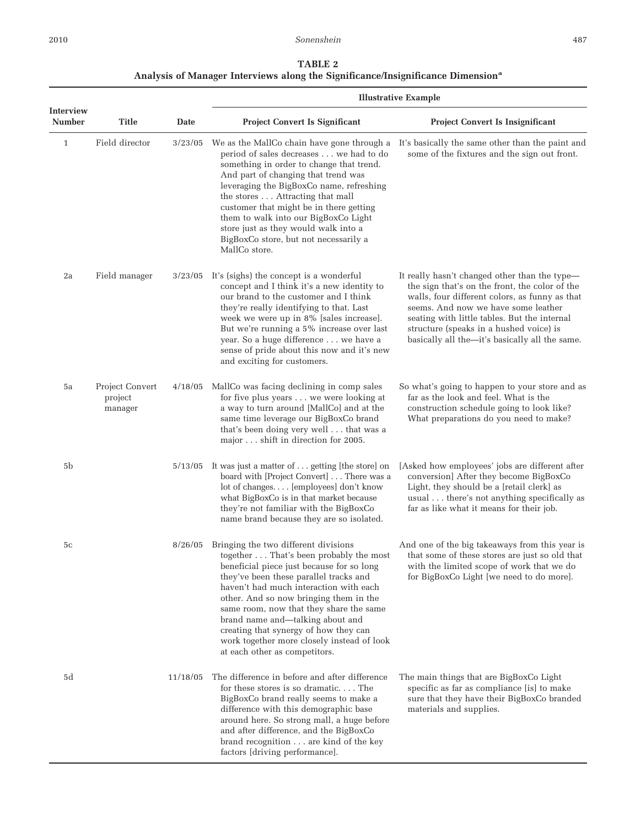### 2010 *Sonenshein* 487

# **TABLE 2**

# **Analysis of Manager Interviews along the Significance/Insignificance Dimensiona**

|                            |                                       |          | <b>Illustrative Example</b>                                                                                                                                                                                                                                                                                                                                                                                                                                      |                                                                                                                                                                                                                                                                                                                                       |  |  |  |
|----------------------------|---------------------------------------|----------|------------------------------------------------------------------------------------------------------------------------------------------------------------------------------------------------------------------------------------------------------------------------------------------------------------------------------------------------------------------------------------------------------------------------------------------------------------------|---------------------------------------------------------------------------------------------------------------------------------------------------------------------------------------------------------------------------------------------------------------------------------------------------------------------------------------|--|--|--|
| Interview<br><b>Number</b> | Title                                 | Date     | <b>Project Convert Is Significant</b>                                                                                                                                                                                                                                                                                                                                                                                                                            | <b>Project Convert Is Insignificant</b>                                                                                                                                                                                                                                                                                               |  |  |  |
| $\mathbf{1}$               | Field director                        | 3/23/05  | period of sales decreases we had to do<br>something in order to change that trend.<br>And part of changing that trend was<br>leveraging the BigBoxCo name, refreshing<br>the stores Attracting that mall<br>customer that might be in there getting<br>them to walk into our BigBoxCo Light<br>store just as they would walk into a<br>BigBoxCo store, but not necessarily a<br>MallCo store.                                                                    | We as the MallCo chain have gone through a It's basically the same other than the paint and<br>some of the fixtures and the sign out front.                                                                                                                                                                                           |  |  |  |
| 2a                         | Field manager                         | 3/23/05  | It's (sighs) the concept is a wonderful<br>concept and I think it's a new identity to<br>our brand to the customer and I think<br>they're really identifying to that. Last<br>week we were up in 8% [sales increase].<br>But we're running a 5% increase over last<br>year. So a huge difference we have a<br>sense of pride about this now and it's new<br>and exciting for customers.                                                                          | It really hasn't changed other than the type—<br>the sign that's on the front, the color of the<br>walls, four different colors, as funny as that<br>seems. And now we have some leather<br>seating with little tables. But the internal<br>structure (speaks in a hushed voice) is<br>basically all the-it's basically all the same. |  |  |  |
| 5a                         | Project Convert<br>project<br>manager |          | 4/18/05 MallCo was facing declining in comp sales<br>for five plus years we were looking at<br>a way to turn around [MallCo] and at the<br>same time leverage our BigBoxCo brand<br>that's been doing very well  that was a<br>major shift in direction for 2005.                                                                                                                                                                                                | So what's going to happen to your store and as<br>far as the look and feel. What is the<br>construction schedule going to look like?<br>What preparations do you need to make?                                                                                                                                                        |  |  |  |
| 5b                         |                                       | 5/13/05  | It was just a matter of getting [the store] on<br>board with [Project Convert] There was a<br>lot of changes [employees] don't know<br>what BigBoxCo is in that market because<br>they're not familiar with the BigBoxCo<br>name brand because they are so isolated.                                                                                                                                                                                             | [Asked how employees' jobs are different after<br>conversion] After they become BigBoxCo<br>Light, they should be a [retail clerk] as<br>usual there's not anything specifically as<br>far as like what it means for their job.                                                                                                       |  |  |  |
| 5с                         |                                       | 8/26/05  | Bringing the two different divisions<br>together That's been probably the most<br>beneficial piece just because for so long<br>they've been these parallel tracks and<br>haven't had much interaction with each<br>other. And so now bringing them in the<br>same room, now that they share the same<br>brand name and—talking about and<br>creating that synergy of how they can<br>work together more closely instead of look<br>at each other as competitors. | And one of the big takeaways from this year is<br>that some of these stores are just so old that<br>with the limited scope of work that we do<br>for BigBoxCo Light [we need to do more].                                                                                                                                             |  |  |  |
| 5d                         |                                       | 11/18/05 | The difference in before and after difference<br>for these stores is so dramatic The<br>BigBoxCo brand really seems to make a<br>difference with this demographic base<br>around here. So strong mall, a huge before<br>and after difference, and the BigBoxCo<br>brand recognition are kind of the key<br>factors [driving performance].                                                                                                                        | The main things that are BigBoxCo Light<br>specific as far as compliance [is] to make<br>sure that they have their BigBoxCo branded<br>materials and supplies.                                                                                                                                                                        |  |  |  |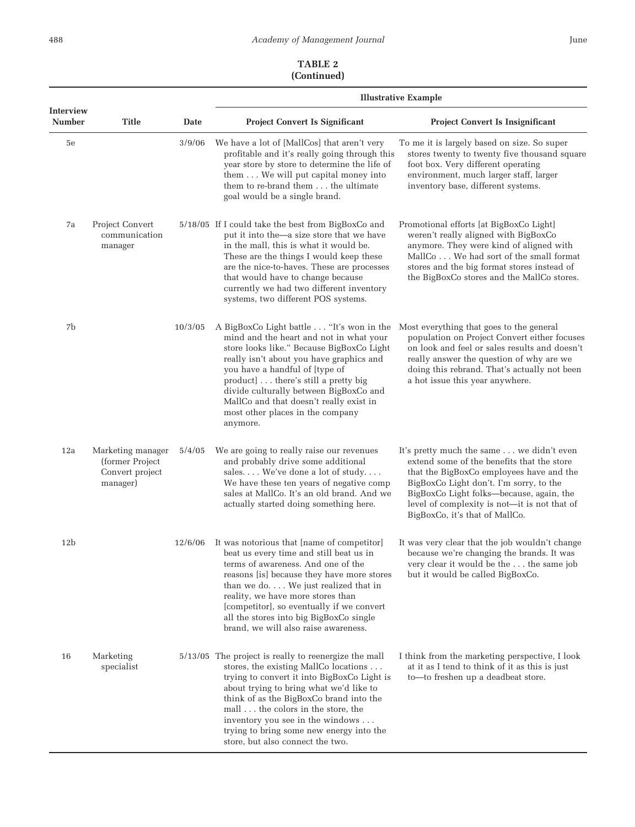# **TABLE 2 (Continued)**

|                            |                                                                     |         | <b>Illustrative Example</b>                                                                                                                                                                                                                                                                                                                                                                         |                                                                                                                                                                                                                                                                                                             |  |  |  |
|----------------------------|---------------------------------------------------------------------|---------|-----------------------------------------------------------------------------------------------------------------------------------------------------------------------------------------------------------------------------------------------------------------------------------------------------------------------------------------------------------------------------------------------------|-------------------------------------------------------------------------------------------------------------------------------------------------------------------------------------------------------------------------------------------------------------------------------------------------------------|--|--|--|
| Interview<br><b>Number</b> | <b>Title</b>                                                        | Date    | <b>Project Convert Is Significant</b>                                                                                                                                                                                                                                                                                                                                                               | <b>Project Convert Is Insignificant</b>                                                                                                                                                                                                                                                                     |  |  |  |
| 5e                         |                                                                     | 3/9/06  | We have a lot of [MallCos] that aren't very<br>profitable and it's really going through this<br>year store by store to determine the life of<br>them We will put capital money into<br>them to re-brand them the ultimate<br>goal would be a single brand.                                                                                                                                          | To me it is largely based on size. So super<br>stores twenty to twenty five thousand square<br>foot box. Very different operating<br>environment, much larger staff, larger<br>inventory base, different systems.                                                                                           |  |  |  |
| 7a                         | Project Convert<br>communication<br>manager                         |         | 5/18/05 If I could take the best from BigBoxCo and<br>put it into the—a size store that we have<br>in the mall, this is what it would be.<br>These are the things I would keep these<br>are the nice-to-haves. These are processes<br>that would have to change because<br>currently we had two different inventory<br>systems, two different POS systems.                                          | Promotional efforts [at BigBoxCo Light]<br>weren't really aligned with BigBoxCo<br>anymore. They were kind of aligned with<br>MallCo We had sort of the small format<br>stores and the big format stores instead of<br>the BigBoxCo stores and the MallCo stores.                                           |  |  |  |
| 7b                         |                                                                     | 10/3/05 | A BigBoxCo Light battle "It's won in the<br>mind and the heart and not in what your<br>store looks like." Because BigBoxCo Light<br>really isn't about you have graphics and<br>you have a handful of [type of<br>product]there's still a pretty big<br>divide culturally between BigBoxCo and<br>MallCo and that doesn't really exist in<br>most other places in the company<br>anymore.           | Most everything that goes to the general<br>population on Project Convert either focuses<br>on look and feel or sales results and doesn't<br>really answer the question of why are we<br>doing this rebrand. That's actually not been<br>a hot issue this year anywhere.                                    |  |  |  |
| 12a                        | Marketing manager<br>(former Project<br>Convert project<br>manager) | 5/4/05  | We are going to really raise our revenues<br>and probably drive some additional<br>sales We've done a lot of study<br>We have these ten years of negative comp<br>sales at MallCo. It's an old brand. And we<br>actually started doing something here.                                                                                                                                              | It's pretty much the same we didn't even<br>extend some of the benefits that the store<br>that the BigBoxCo employees have and the<br>BigBoxCo Light don't. I'm sorry, to the<br>BigBoxCo Light folks—because, again, the<br>level of complexity is not-it is not that of<br>BigBoxCo, it's that of MallCo. |  |  |  |
| 12 <sub>b</sub>            |                                                                     | 12/6/06 | It was notorious that [name of competitor]<br>beat us every time and still beat us in<br>terms of awareness. And one of the<br>reasons [is] because they have more stores<br>than we do We just realized that in<br>reality, we have more stores than<br>[competitor], so eventually if we convert<br>all the stores into big BigBoxCo single<br>brand, we will also raise awareness.               | It was very clear that the job wouldn't change<br>because we're changing the brands. It was<br>very clear it would be the  the same job<br>but it would be called BigBoxCo.                                                                                                                                 |  |  |  |
| 16                         | Marketing<br>specialist                                             |         | 5/13/05 The project is really to reenergize the mall<br>stores, the existing MallCo locations<br>trying to convert it into BigBoxCo Light is<br>about trying to bring what we'd like to<br>think of as the BigBoxCo brand into the<br>mall the colors in the store, the<br>inventory you see in the windows $\dots$<br>trying to bring some new energy into the<br>store, but also connect the two. | I think from the marketing perspective, I look<br>at it as I tend to think of it as this is just<br>to—to freshen up a deadbeat store.                                                                                                                                                                      |  |  |  |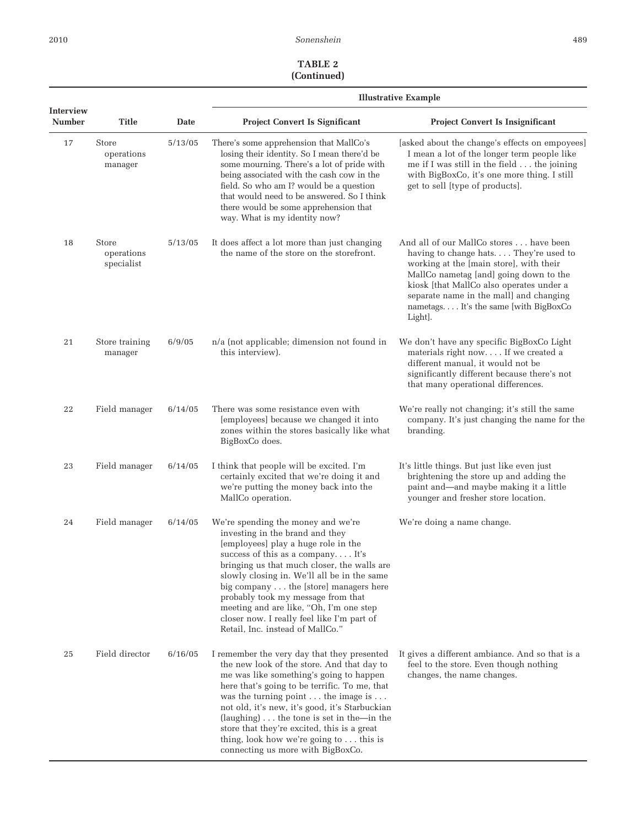### **TABLE 2 (Continued)**

|                            |                                   |         |                                                                                                                                                                                                                                                                                                                                                                                                                                                                                         | <b>Illustrative Example</b>                                                                                                                                                                                                                                                                                     |
|----------------------------|-----------------------------------|---------|-----------------------------------------------------------------------------------------------------------------------------------------------------------------------------------------------------------------------------------------------------------------------------------------------------------------------------------------------------------------------------------------------------------------------------------------------------------------------------------------|-----------------------------------------------------------------------------------------------------------------------------------------------------------------------------------------------------------------------------------------------------------------------------------------------------------------|
| Interview<br><b>Number</b> | Title                             | Date    | <b>Project Convert Is Significant</b>                                                                                                                                                                                                                                                                                                                                                                                                                                                   | <b>Project Convert Is Insignificant</b>                                                                                                                                                                                                                                                                         |
| 17                         | Store<br>operations<br>manager    | 5/13/05 | There's some apprehension that MallCo's<br>losing their identity. So I mean there'd be<br>some mourning. There's a lot of pride with<br>being associated with the cash cow in the<br>field. So who am I? would be a question<br>that would need to be answered. So I think<br>there would be some apprehension that<br>way. What is my identity now?                                                                                                                                    | [asked about the change's effects on empoyees]<br>I mean a lot of the longer term people like<br>me if I was still in the field $\ldots$ the joining<br>with BigBoxCo, it's one more thing. I still<br>get to sell [type of products].                                                                          |
| 18                         | Store<br>operations<br>specialist | 5/13/05 | It does affect a lot more than just changing<br>the name of the store on the storefront.                                                                                                                                                                                                                                                                                                                                                                                                | And all of our MallCo stores have been<br>having to change hats They're used to<br>working at the [main store], with their<br>MallCo nametag [and] going down to the<br>kiosk [that MallCo also operates under a<br>separate name in the mall] and changing<br>nametags It's the same [with BigBoxCo<br>Light]. |
| 21                         | Store training<br>manager         | 6/9/05  | n/a (not applicable; dimension not found in<br>this interview).                                                                                                                                                                                                                                                                                                                                                                                                                         | We don't have any specific BigBoxCo Light<br>materials right now If we created a<br>different manual, it would not be<br>significantly different because there's not<br>that many operational differences.                                                                                                      |
| 22                         | Field manager                     | 6/14/05 | There was some resistance even with<br>[employees] because we changed it into<br>zones within the stores basically like what<br>BigBoxCo does.                                                                                                                                                                                                                                                                                                                                          | We're really not changing; it's still the same<br>company. It's just changing the name for the<br>branding.                                                                                                                                                                                                     |
| 23                         | Field manager                     | 6/14/05 | I think that people will be excited. I'm<br>certainly excited that we're doing it and<br>we're putting the money back into the<br>MallCo operation.                                                                                                                                                                                                                                                                                                                                     | It's little things. But just like even just<br>brightening the store up and adding the<br>paint and—and maybe making it a little<br>younger and fresher store location.                                                                                                                                         |
| 24                         | Field manager                     | 6/14/05 | We're spending the money and we're<br>investing in the brand and they<br>[employees] play a huge role in the<br>success of this as a company It's<br>bringing us that much closer, the walls are<br>slowly closing in. We'll all be in the same<br>big company the [store] managers here<br>probably took my message from that<br>meeting and are like, "Oh, I'm one step<br>closer now. I really feel like I'm part of<br>Retail, Inc. instead of MallCo."                             | We're doing a name change.                                                                                                                                                                                                                                                                                      |
| 25                         | Field director                    | 6/16/05 | I remember the very day that they presented<br>the new look of the store. And that day to<br>me was like something's going to happen<br>here that's going to be terrific. To me, that<br>was the turning point $\dots$ the image is $\dots$<br>not old, it's new, it's good, it's Starbuckian<br>(laughing) $\dots$ the tone is set in the—in the<br>store that they're excited, this is a great<br>thing, look how we're going to $\dots$ this is<br>connecting us more with BigBoxCo. | It gives a different ambiance. And so that is a<br>feel to the store. Even though nothing<br>changes, the name changes.                                                                                                                                                                                         |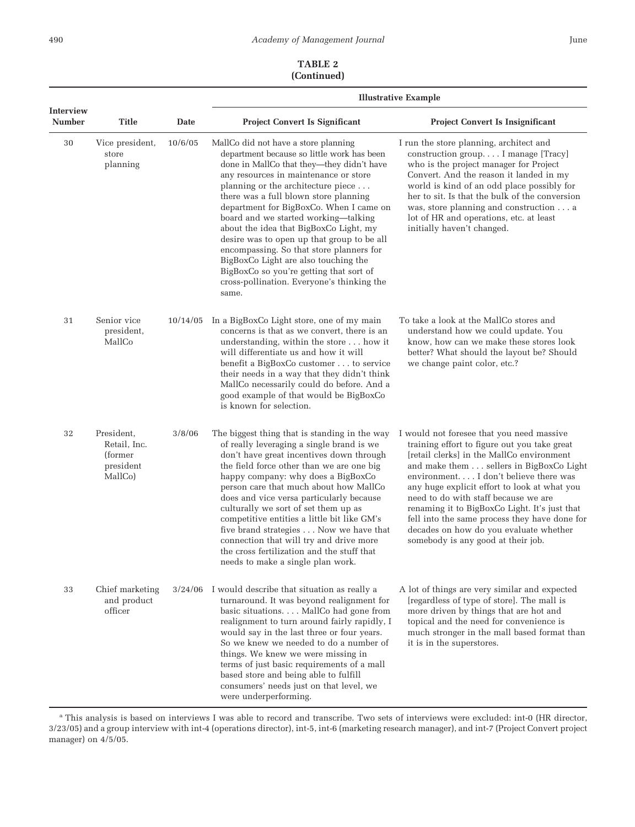### **TABLE 2 (Continued)**

|                            |                                                                |             |                                                                                                                                                                                                                                                                                                                                                                                                                                                                                                                                                                                                                          | <b>Illustrative Example</b>                                                                                                                                                                                                                                                                                                                                                                                                                                                                          |
|----------------------------|----------------------------------------------------------------|-------------|--------------------------------------------------------------------------------------------------------------------------------------------------------------------------------------------------------------------------------------------------------------------------------------------------------------------------------------------------------------------------------------------------------------------------------------------------------------------------------------------------------------------------------------------------------------------------------------------------------------------------|------------------------------------------------------------------------------------------------------------------------------------------------------------------------------------------------------------------------------------------------------------------------------------------------------------------------------------------------------------------------------------------------------------------------------------------------------------------------------------------------------|
| Interview<br><b>Number</b> | <b>Title</b>                                                   | <b>Date</b> | <b>Project Convert Is Significant</b>                                                                                                                                                                                                                                                                                                                                                                                                                                                                                                                                                                                    | <b>Project Convert Is Insignificant</b>                                                                                                                                                                                                                                                                                                                                                                                                                                                              |
| 30                         | Vice president,<br>store<br>planning                           | 10/6/05     | MallCo did not have a store planning<br>department because so little work has been<br>done in MallCo that they-they didn't have<br>any resources in maintenance or store<br>planning or the architecture piece<br>there was a full blown store planning<br>department for BigBoxCo. When I came on<br>board and we started working-talking<br>about the idea that BigBoxCo Light, my<br>desire was to open up that group to be all<br>encompassing. So that store planners for<br>BigBoxCo Light are also touching the<br>BigBoxCo so you're getting that sort of<br>cross-pollination. Everyone's thinking the<br>same. | I run the store planning, architect and<br>construction group. I manage [Tracy]<br>who is the project manager for Project<br>Convert. And the reason it landed in my<br>world is kind of an odd place possibly for<br>her to sit. Is that the bulk of the conversion<br>was, store planning and construction a<br>lot of HR and operations, etc. at least<br>initially haven't changed.                                                                                                              |
| 31                         | Senior vice<br>president,<br>MallCo                            | 10/14/05    | In a BigBoxCo Light store, one of my main<br>concerns is that as we convert, there is an<br>understanding, within the store $\dots$ how it<br>will differentiate us and how it will<br>benefit a BigBoxCo customer to service<br>their needs in a way that they didn't think<br>MallCo necessarily could do before. And a<br>good example of that would be BigBoxCo<br>is known for selection.                                                                                                                                                                                                                           | To take a look at the MallCo stores and<br>understand how we could update. You<br>know, how can we make these stores look<br>better? What should the layout be? Should<br>we change paint color, etc.?                                                                                                                                                                                                                                                                                               |
| 32                         | President,<br>Retail, Inc.<br>(former)<br>president<br>MallCo) | 3/8/06      | The biggest thing that is standing in the way<br>of really leveraging a single brand is we<br>don't have great incentives down through<br>the field force other than we are one big<br>happy company: why does a BigBoxCo<br>person care that much about how MallCo<br>does and vice versa particularly because<br>culturally we sort of set them up as<br>competitive entities a little bit like GM's<br>five brand strategies Now we have that<br>connection that will try and drive more<br>the cross fertilization and the stuff that<br>needs to make a single plan work.                                           | I would not foresee that you need massive<br>training effort to figure out you take great<br>[retail clerks] in the MallCo environment<br>and make them sellers in BigBoxCo Light<br>environment I don't believe there was<br>any huge explicit effort to look at what you<br>need to do with staff because we are<br>renaming it to BigBoxCo Light. It's just that<br>fell into the same process they have done for<br>decades on how do you evaluate whether<br>somebody is any good at their job. |
| 33                         | Chief marketing<br>and product<br>officer                      |             | $3/24/06$ I would describe that situation as really a<br>turnaround. It was beyond realignment for<br>basic situations. MallCo had gone from<br>realignment to turn around fairly rapidly, I<br>would say in the last three or four years.<br>So we knew we needed to do a number of<br>things. We knew we were missing in<br>terms of just basic requirements of a mall<br>based store and being able to fulfill<br>consumers' needs just on that level, we<br>were underperforming.                                                                                                                                    | A lot of things are very similar and expected<br>[regardless of type of store]. The mall is<br>more driven by things that are hot and<br>topical and the need for convenience is<br>much stronger in the mall based format than<br>it is in the superstores.                                                                                                                                                                                                                                         |

<sup>a</sup> This analysis is based on interviews I was able to record and transcribe. Two sets of interviews were excluded: int-0 (HR director, 3/23/05) and a group interview with int-4 (operations director), int-5, int-6 (marketing research manager), and int-7 (Project Convert project manager) on 4/5/05.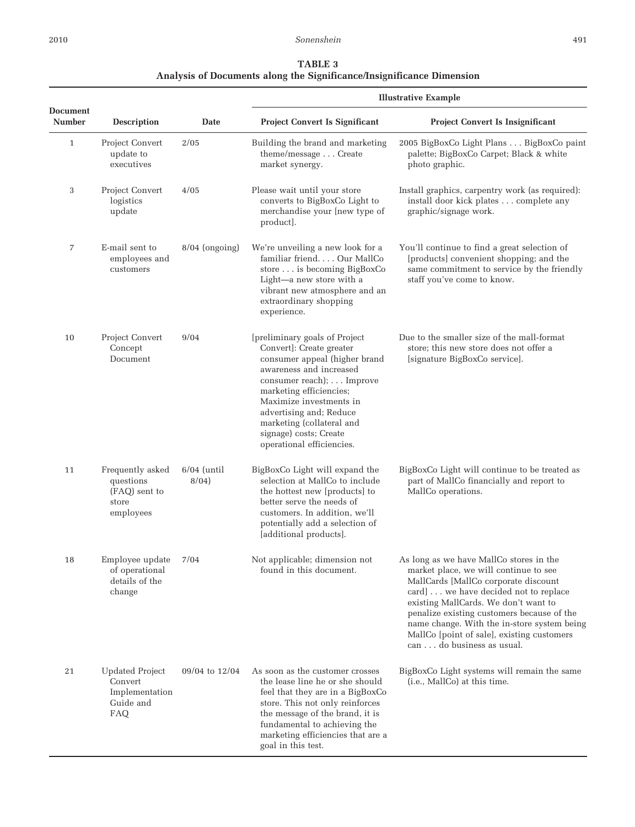#### 2010 *Sonenshein* 491

# **TABLE 3**

# **Analysis of Documents along the Significance/Insignificance Dimension**

|                                  |                                                                         |                        | <b>Illustrative Example</b>                                                                                                                                                                                                                                                                                            |                                                                                                                                                                                                                                                                                                                                                                                   |  |  |  |  |
|----------------------------------|-------------------------------------------------------------------------|------------------------|------------------------------------------------------------------------------------------------------------------------------------------------------------------------------------------------------------------------------------------------------------------------------------------------------------------------|-----------------------------------------------------------------------------------------------------------------------------------------------------------------------------------------------------------------------------------------------------------------------------------------------------------------------------------------------------------------------------------|--|--|--|--|
| <b>Document</b><br><b>Number</b> | <b>Description</b>                                                      | <b>Date</b>            | <b>Project Convert Is Significant</b>                                                                                                                                                                                                                                                                                  | <b>Project Convert Is Insignificant</b>                                                                                                                                                                                                                                                                                                                                           |  |  |  |  |
| $\mathbf{1}$                     | Project Convert<br>update to<br>executives                              | 2/05                   | Building the brand and marketing<br>theme/message Create<br>market synergy.                                                                                                                                                                                                                                            | 2005 BigBoxCo Light Plans BigBoxCo paint<br>palette; BigBoxCo Carpet; Black & white<br>photo graphic.                                                                                                                                                                                                                                                                             |  |  |  |  |
| 3                                | Project Convert<br>logistics<br>update                                  | 4/05                   | Please wait until your store<br>converts to BigBoxCo Light to<br>merchandise your [new type of<br>product].                                                                                                                                                                                                            | Install graphics, carpentry work (as required):<br>install door kick plates complete any<br>graphic/signage work.                                                                                                                                                                                                                                                                 |  |  |  |  |
| $\boldsymbol{7}$                 | E-mail sent to<br>employees and<br>customers                            | $8/04$ (ongoing)       | We're unveiling a new look for a<br>familiar friend. Our MallCo<br>store is becoming BigBoxCo<br>Light-a new store with a<br>vibrant new atmosphere and an<br>extraordinary shopping<br>experience.                                                                                                                    | You'll continue to find a great selection of<br>[products] convenient shopping; and the<br>same commitment to service by the friendly<br>staff you've come to know.                                                                                                                                                                                                               |  |  |  |  |
| 10                               | Project Convert<br>Concept<br>Document                                  | 9/04                   | [preliminary goals of Project<br>Convert]: Create greater<br>consumer appeal (higher brand<br>awareness and increased<br>consumer reach); Improve<br>marketing efficiencies;<br>Maximize investments in<br>advertising and; Reduce<br>marketing (collateral and<br>signage) costs; Create<br>operational efficiencies. | Due to the smaller size of the mall-format<br>store; this new store does not offer a<br>[signature BigBoxCo service].                                                                                                                                                                                                                                                             |  |  |  |  |
| 11                               | Frequently asked<br>questions<br>(FAQ) sent to<br>store<br>employees    | $6/04$ (until<br>8/04) | BigBoxCo Light will expand the<br>selection at MallCo to include<br>the hottest new [products] to<br>better serve the needs of<br>customers. In addition, we'll<br>potentially add a selection of<br>[additional products].                                                                                            | BigBoxCo Light will continue to be treated as<br>part of MallCo financially and report to<br>MallCo operations.                                                                                                                                                                                                                                                                   |  |  |  |  |
| 18                               | Employee update<br>of operational<br>details of the<br>change           | 7/04                   | Not applicable; dimension not<br>found in this document.                                                                                                                                                                                                                                                               | As long as we have MallCo stores in the<br>market place, we will continue to see<br>MallCards [MallCo corporate discount<br>card] we have decided not to replace<br>existing MallCards. We don't want to<br>penalize existing customers because of the<br>name change. With the in-store system being<br>MallCo [point of sale], existing customers<br>can  do business as usual. |  |  |  |  |
| 21                               | <b>Updated Project</b><br>Convert<br>Implementation<br>Guide and<br>FAQ | 09/04 to 12/04         | As soon as the customer crosses<br>the lease line he or she should<br>feel that they are in a BigBoxCo<br>store. This not only reinforces<br>the message of the brand, it is<br>fundamental to achieving the<br>marketing efficiencies that are a<br>goal in this test.                                                | BigBoxCo Light systems will remain the same<br>( <i>i.e.</i> , MallCo) at this time.                                                                                                                                                                                                                                                                                              |  |  |  |  |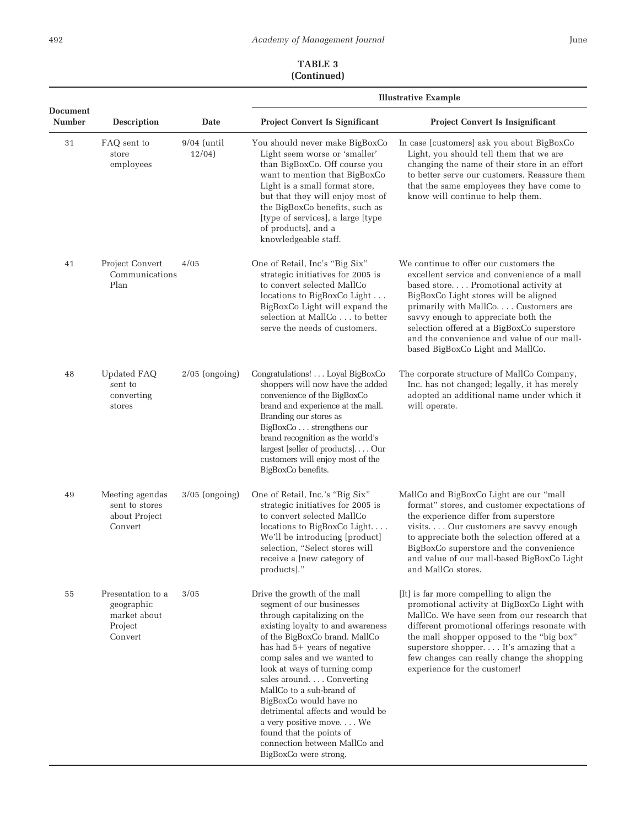## **TABLE 3 (Continued)**

|                                  |                                                                       |                         |                                                                                                                                                                                                                                                                                                                                                                                                                                                                                                    | <b>Illustrative Example</b>                                                                                                                                                                                                                                                                                                                                                          |
|----------------------------------|-----------------------------------------------------------------------|-------------------------|----------------------------------------------------------------------------------------------------------------------------------------------------------------------------------------------------------------------------------------------------------------------------------------------------------------------------------------------------------------------------------------------------------------------------------------------------------------------------------------------------|--------------------------------------------------------------------------------------------------------------------------------------------------------------------------------------------------------------------------------------------------------------------------------------------------------------------------------------------------------------------------------------|
| <b>Document</b><br><b>Number</b> | Description                                                           | <b>Date</b>             | <b>Project Convert Is Significant</b>                                                                                                                                                                                                                                                                                                                                                                                                                                                              | <b>Project Convert Is Insignificant</b>                                                                                                                                                                                                                                                                                                                                              |
| 31                               | FAQ sent to<br>store<br>employees                                     | $9/04$ (until<br>12/04) | You should never make BigBoxCo<br>Light seem worse or 'smaller'<br>than BigBoxCo. Off course you<br>want to mention that BigBoxCo<br>Light is a small format store,<br>but that they will enjoy most of<br>the BigBoxCo benefits, such as<br>[type of services], a large [type<br>of products], and a<br>knowledgeable staff.                                                                                                                                                                      | In case [customers] ask you about BigBoxCo<br>Light, you should tell them that we are<br>changing the name of their store in an effort<br>to better serve our customers. Reassure them<br>that the same employees they have come to<br>know will continue to help them.                                                                                                              |
| 41                               | Project Convert<br>Communications<br>Plan                             | 4/05                    | One of Retail, Inc's "Big Six"<br>strategic initiatives for 2005 is<br>to convert selected MallCo<br>locations to BigBoxCo Light<br>BigBoxCo Light will expand the<br>selection at MallCo to better<br>serve the needs of customers.                                                                                                                                                                                                                                                               | We continue to offer our customers the<br>excellent service and convenience of a mall<br>based store Promotional activity at<br>BigBoxCo Light stores will be aligned<br>primarily with MallCo. Customers are<br>savvy enough to appreciate both the<br>selection offered at a BigBoxCo superstore<br>and the convenience and value of our mall-<br>based BigBoxCo Light and MallCo. |
| 48                               | Updated FAQ<br>sent to<br>converting<br>stores                        | $2/05$ (ongoing)        | Congratulations! Loyal BigBoxCo<br>shoppers will now have the added<br>convenience of the BigBoxCo<br>brand and experience at the mall.<br>Branding our stores as<br>BigBoxCo strengthens our<br>brand recognition as the world's<br>largest [seller of products] Our<br>customers will enjoy most of the<br>BigBoxCo benefits.                                                                                                                                                                    | The corporate structure of MallCo Company,<br>Inc. has not changed; legally, it has merely<br>adopted an additional name under which it<br>will operate.                                                                                                                                                                                                                             |
| 49                               | Meeting agendas<br>sent to stores<br>about Project<br>Convert         | $3/05$ (ongoing)        | One of Retail, Inc.'s "Big Six"<br>strategic initiatives for 2005 is<br>to convert selected MallCo<br>locations to BigBoxCo Light<br>We'll be introducing [product]<br>selection, "Select stores will<br>receive a [new category of<br>products]."                                                                                                                                                                                                                                                 | MallCo and BigBoxCo Light are our "mall<br>format" stores, and customer expectations of<br>the experience differ from superstore<br>visits Our customers are savvy enough<br>to appreciate both the selection offered at a<br>BigBoxCo superstore and the convenience<br>and value of our mall-based BigBoxCo Light<br>and MallCo stores.                                            |
| 55                               | Presentation to a<br>geographic<br>market about<br>Project<br>Convert | 3/05                    | Drive the growth of the mall<br>segment of our businesses<br>through capitalizing on the<br>existing loyalty to and awareness<br>of the BigBoxCo brand. MallCo<br>has had 5+ years of negative<br>comp sales and we wanted to<br>look at ways of turning comp<br>sales aroundConverting<br>MallCo to a sub-brand of<br>BigBoxCo would have no<br>detrimental affects and would be<br>a very positive move We<br>found that the points of<br>connection between MallCo and<br>BigBoxCo were strong. | [It] is far more compelling to align the<br>promotional activity at BigBoxCo Light with<br>MallCo. We have seen from our research that<br>different promotional offerings resonate with<br>the mall shopper opposed to the "big box"<br>superstore shopper It's amazing that a<br>few changes can really change the shopping<br>experience for the customer!                         |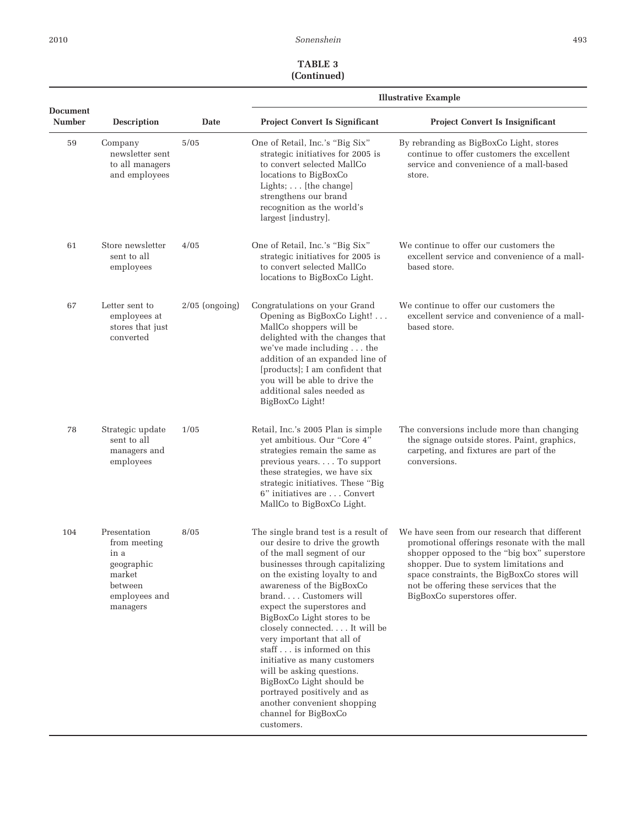### **TABLE 3 (Continued)**

|                                  |                                                                                                      |                  | <b>Illustrative Example</b>                                                                                                                                                                                                                                                                                                                                                                                                                                                                                                                                                         |                                                                                                                                                                                                                                                                                                                 |  |  |  |
|----------------------------------|------------------------------------------------------------------------------------------------------|------------------|-------------------------------------------------------------------------------------------------------------------------------------------------------------------------------------------------------------------------------------------------------------------------------------------------------------------------------------------------------------------------------------------------------------------------------------------------------------------------------------------------------------------------------------------------------------------------------------|-----------------------------------------------------------------------------------------------------------------------------------------------------------------------------------------------------------------------------------------------------------------------------------------------------------------|--|--|--|
| <b>Document</b><br><b>Number</b> | <b>Description</b>                                                                                   | Date             | <b>Project Convert Is Significant</b>                                                                                                                                                                                                                                                                                                                                                                                                                                                                                                                                               | <b>Project Convert Is Insignificant</b>                                                                                                                                                                                                                                                                         |  |  |  |
| 59                               | Company<br>newsletter sent<br>to all managers<br>and employees                                       | 5/05             | One of Retail, Inc.'s "Big Six"<br>strategic initiatives for 2005 is<br>to convert selected MallCo<br>locations to BigBoxCo<br>Lights; [the change]<br>strengthens our brand<br>recognition as the world's<br>largest [industry].                                                                                                                                                                                                                                                                                                                                                   | By rebranding as BigBoxCo Light, stores<br>continue to offer customers the excellent<br>service and convenience of a mall-based<br>store.                                                                                                                                                                       |  |  |  |
| 61                               | Store newsletter<br>sent to all<br>employees                                                         | 4/05             | One of Retail, Inc.'s "Big Six"<br>strategic initiatives for 2005 is<br>to convert selected MallCo<br>locations to BigBoxCo Light.                                                                                                                                                                                                                                                                                                                                                                                                                                                  | We continue to offer our customers the<br>excellent service and convenience of a mall-<br>based store.                                                                                                                                                                                                          |  |  |  |
| 67                               | Letter sent to<br>employees at<br>stores that just<br>converted                                      | $2/05$ (ongoing) | Congratulations on your Grand<br>Opening as BigBoxCo Light!<br>MallCo shoppers will be<br>delighted with the changes that<br>we've made including the<br>addition of an expanded line of<br>[products]; I am confident that<br>you will be able to drive the<br>additional sales needed as<br>BigBoxCo Light!                                                                                                                                                                                                                                                                       | We continue to offer our customers the<br>excellent service and convenience of a mall-<br>based store.                                                                                                                                                                                                          |  |  |  |
| 78                               | Strategic update<br>sent to all<br>managers and<br>employees                                         | 1/05             | Retail, Inc.'s 2005 Plan is simple<br>yet ambitious. Our "Core 4"<br>strategies remain the same as<br>previous years To support<br>these strategies, we have six<br>strategic initiatives. These "Big<br>$6"$ initiatives are $\ldots$ Convert<br>MallCo to BigBoxCo Light.                                                                                                                                                                                                                                                                                                         | The conversions include more than changing<br>the signage outside stores. Paint, graphics,<br>carpeting, and fixtures are part of the<br>conversions.                                                                                                                                                           |  |  |  |
| 104                              | Presentation<br>from meeting<br>in a<br>geographic<br>market<br>between<br>employees and<br>managers | 8/05             | The single brand test is a result of<br>our desire to drive the growth<br>of the mall segment of our<br>businesses through capitalizing<br>on the existing loyalty to and<br>awareness of the BigBoxCo<br>brand Customers will<br>expect the superstores and<br>BigBoxCo Light stores to be<br>closely connected It will be<br>very important that all of<br>staff is informed on this<br>initiative as many customers<br>will be asking questions.<br>BigBoxCo Light should be<br>portrayed positively and as<br>another convenient shopping<br>channel for BigBoxCo<br>customers. | We have seen from our research that different<br>promotional offerings resonate with the mall<br>shopper opposed to the "big box" superstore<br>shopper. Due to system limitations and<br>space constraints, the BigBoxCo stores will<br>not be offering these services that the<br>BigBoxCo superstores offer. |  |  |  |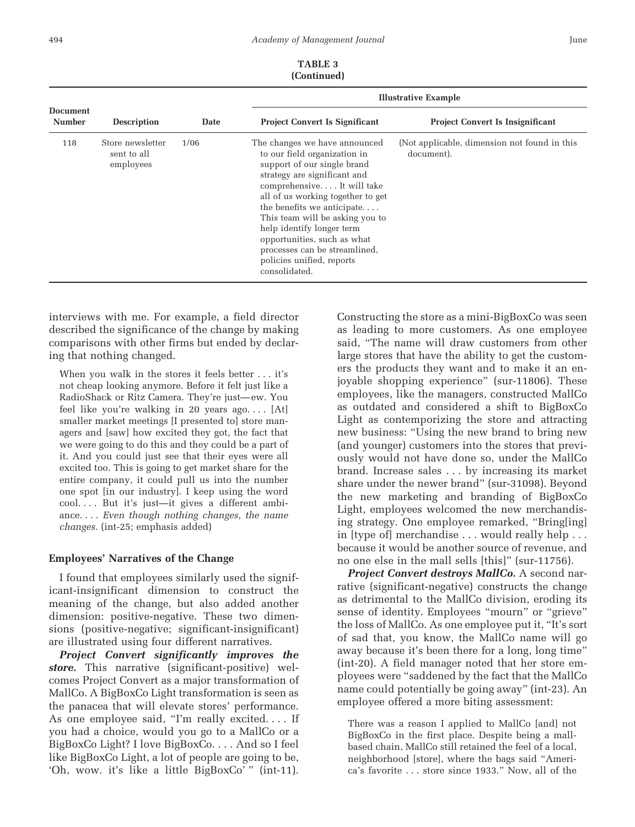|                                  | (Continuea)                                  |      |                                                                                                                                                                                                                                                                                                                                                                                                              |                                                             |  |  |  |
|----------------------------------|----------------------------------------------|------|--------------------------------------------------------------------------------------------------------------------------------------------------------------------------------------------------------------------------------------------------------------------------------------------------------------------------------------------------------------------------------------------------------------|-------------------------------------------------------------|--|--|--|
|                                  |                                              |      | <b>Illustrative Example</b>                                                                                                                                                                                                                                                                                                                                                                                  |                                                             |  |  |  |
| <b>Document</b><br><b>Number</b> | <b>Description</b>                           | Date | <b>Project Convert Is Significant</b>                                                                                                                                                                                                                                                                                                                                                                        | <b>Project Convert Is Insignificant</b>                     |  |  |  |
| 118                              | Store newsletter<br>sent to all<br>employees | 1/06 | The changes we have announced<br>to our field organization in<br>support of our single brand<br>strategy are significant and<br>comprehensive. It will take<br>all of us working together to get<br>the benefits we anticipate<br>This team will be asking you to<br>help identify longer term<br>opportunities, such as what<br>processes can be streamlined,<br>policies unified, reports<br>consolidated. | (Not applicable, dimension not found in this)<br>document). |  |  |  |

**TABLE 3**  $(C_{\text{orbit}})$ 

interviews with me. For example, a field director described the significance of the change by making comparisons with other firms but ended by declaring that nothing changed.

When you walk in the stores it feels better . . . it's not cheap looking anymore. Before it felt just like a RadioShack or Ritz Camera. They're just— ew. You feel like you're walking in 20 years ago.... [At] smaller market meetings [I presented to] store managers and [saw] how excited they got, the fact that we were going to do this and they could be a part of it. And you could just see that their eyes were all excited too. This is going to get market share for the entire company, it could pull us into the number one spot [in our industry]. I keep using the word cool. . . . But it's just—it gives a different ambiance.... *Even though nothing changes, the name changes.* (int-25; emphasis added)

#### **Employees' Narratives of the Change**

I found that employees similarly used the significant-insignificant dimension to construct the meaning of the change, but also added another dimension: positive-negative. These two dimensions (positive-negative; significant-insignificant) are illustrated using four different narratives.

*Project Convert significantly improves the store.* This narrative (significant-positive) welcomes Project Convert as a major transformation of MallCo. A BigBoxCo Light transformation is seen as the panacea that will elevate stores' performance. As one employee said, "I'm really excited. . . . If you had a choice, would you go to a MallCo or a BigBoxCo Light? I love BigBoxCo. . . . And so I feel like BigBoxCo Light, a lot of people are going to be, 'Oh, wow. it's like a little BigBoxCo' " (int-11).

Constructing the store as a mini-BigBoxCo was seen as leading to more customers. As one employee said, "The name will draw customers from other large stores that have the ability to get the customers the products they want and to make it an enjoyable shopping experience" (sur-11806). These employees, like the managers, constructed MallCo as outdated and considered a shift to BigBoxCo Light as contemporizing the store and attracting new business: "Using the new brand to bring new (and younger) customers into the stores that previously would not have done so, under the MallCo brand. Increase sales . . . by increasing its market share under the newer brand" (sur-31098). Beyond the new marketing and branding of BigBoxCo Light, employees welcomed the new merchandising strategy. One employee remarked, "Bring[ing] in [type of] merchandise . . . would really help . . . because it would be another source of revenue, and no one else in the mall sells [this]" (sur-11756).

*Project Convert destroys MallCo.* A second narrative (significant-negative) constructs the change as detrimental to the MallCo division, eroding its sense of identity. Employees "mourn" or "grieve" the loss of MallCo. As one employee put it, "It's sort of sad that, you know, the MallCo name will go away because it's been there for a long, long time" (int-20). A field manager noted that her store employees were "saddened by the fact that the MallCo name could potentially be going away" (int-23). An employee offered a more biting assessment:

There was a reason I applied to MallCo [and] not BigBoxCo in the first place. Despite being a mallbased chain, MallCo still retained the feel of a local, neighborhood [store], where the bags said "America's favorite . . . store since 1933." Now, all of the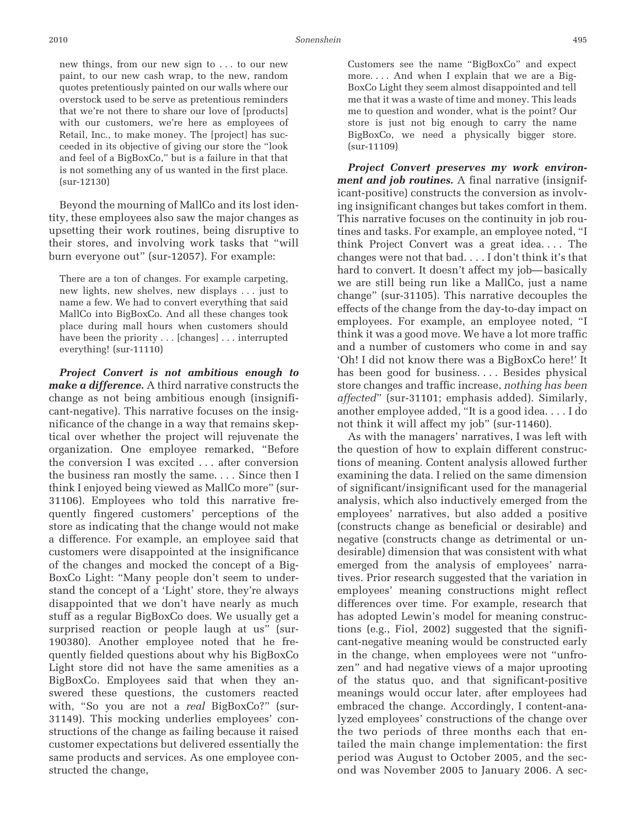new things, from our new sign to . . . to our new paint, to our new cash wrap, to the new, random quotes pretentiously painted on our walls where our overstock used to be serve as pretentious reminders that we're not there to share our love of [products] with our customers, we're here as employees of Retail, Inc., to make money. The [project] has succeeded in its objective of giving our store the "look and feel of a BigBoxCo," but is a failure in that that is not something any of us wanted in the first place. (sur-12130)

Beyond the mourning of MallCo and its lost identity, these employees also saw the major changes as upsetting their work routines, being disruptive to their stores, and involving work tasks that "will burn everyone out" (sur-12057). For example:

There are a ton of changes. For example carpeting, new lights, new shelves, new displays . . . just to name a few. We had to convert everything that said MallCo into BigBoxCo. And all these changes took place during mall hours when customers should have been the priority . . . [changes] . . . interrupted everything! (sur-11110)

*Project Convert is not ambitious enough to make a difference.* A third narrative constructs the change as not being ambitious enough (insignificant-negative). This narrative focuses on the insignificance of the change in a way that remains skeptical over whether the project will rejuvenate the organization. One employee remarked, "Before the conversion I was excited . . . after conversion the business ran mostly the same.... Since then I think I enjoyed being viewed as MallCo more" (sur-31106). Employees who told this narrative frequently fingered customers' perceptions of the store as indicating that the change would not make a difference. For example, an employee said that customers were disappointed at the insignificance of the changes and mocked the concept of a Big-BoxCo Light: "Many people don't seem to understand the concept of a 'Light' store, they're always disappointed that we don't have nearly as much stuff as a regular BigBoxCo does. We usually get a surprised reaction or people laugh at us" (sur-190380). Another employee noted that he frequently fielded questions about why his BigBoxCo Light store did not have the same amenities as a BigBoxCo. Employees said that when they answered these questions, the customers reacted with, "So you are not a *real* BigBoxCo?" (sur-31149). This mocking underlies employees' constructions of the change as failing because it raised customer expectations but delivered essentially the same products and services. As one employee constructed the change,

Customers see the name "BigBoxCo" and expect more. . . . And when I explain that we are a Big-BoxCo Light they seem almost disappointed and tell me that it was a waste of time and money. This leads me to question and wonder, what is the point? Our store is just not big enough to carry the name BigBoxCo, we need a physically bigger store. (sur-11109)

*Project Convert preserves my work environment and job routines.* A final narrative (insignificant-positive) constructs the conversion as involving insignificant changes but takes comfort in them. This narrative focuses on the continuity in job routines and tasks. For example, an employee noted, "I think Project Convert was a great idea. . . . The changes were not that bad. . . . I don't think it's that hard to convert. It doesn't affect my job— basically we are still being run like a MallCo, just a name change" (sur-31105). This narrative decouples the effects of the change from the day-to-day impact on employees. For example, an employee noted, "I think it was a good move. We have a lot more traffic and a number of customers who come in and say 'Oh! I did not know there was a BigBoxCo here!' It has been good for business.... Besides physical store changes and traffic increase, *nothing has been affected*" (sur-31101; emphasis added). Similarly, another employee added, "It is a good idea. . . . I do not think it will affect my job" (sur-11460).

As with the managers' narratives, I was left with the question of how to explain different constructions of meaning. Content analysis allowed further examining the data. I relied on the same dimension of significant/insignificant used for the managerial analysis, which also inductively emerged from the employees' narratives, but also added a positive (constructs change as beneficial or desirable) and negative (constructs change as detrimental or undesirable) dimension that was consistent with what emerged from the analysis of employees' narratives. Prior research suggested that the variation in employees' meaning constructions might reflect differences over time. For example, research that has adopted Lewin's model for meaning constructions (e.g., Fiol, 2002) suggested that the significant-negative meaning would be constructed early in the change, when employees were not "unfrozen" and had negative views of a major uprooting of the status quo, and that significant-positive meanings would occur later, after employees had embraced the change. Accordingly, I content-analyzed employees' constructions of the change over the two periods of three months each that entailed the main change implementation: the first period was August to October 2005, and the second was November 2005 to January 2006. A sec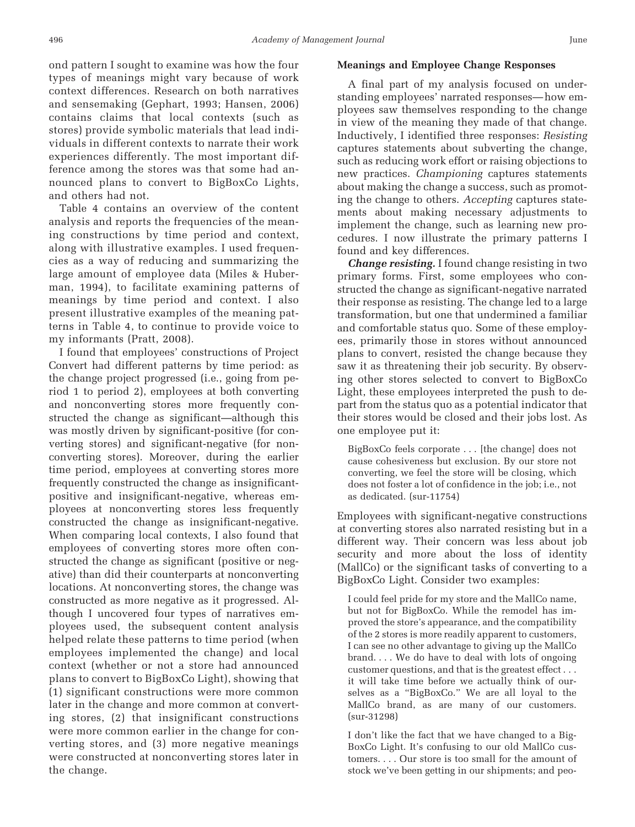ond pattern I sought to examine was how the four types of meanings might vary because of work context differences. Research on both narratives and sensemaking (Gephart, 1993; Hansen, 2006) contains claims that local contexts (such as stores) provide symbolic materials that lead individuals in different contexts to narrate their work experiences differently. The most important difference among the stores was that some had announced plans to convert to BigBoxCo Lights, and others had not.

Table 4 contains an overview of the content analysis and reports the frequencies of the meaning constructions by time period and context, along with illustrative examples. I used frequencies as a way of reducing and summarizing the large amount of employee data (Miles & Huberman, 1994), to facilitate examining patterns of meanings by time period and context. I also present illustrative examples of the meaning patterns in Table 4, to continue to provide voice to my informants (Pratt, 2008).

I found that employees' constructions of Project Convert had different patterns by time period: as the change project progressed (i.e., going from period 1 to period 2), employees at both converting and nonconverting stores more frequently constructed the change as significant—although this was mostly driven by significant-positive (for converting stores) and significant-negative (for nonconverting stores). Moreover, during the earlier time period, employees at converting stores more frequently constructed the change as insignificantpositive and insignificant-negative, whereas employees at nonconverting stores less frequently constructed the change as insignificant-negative. When comparing local contexts, I also found that employees of converting stores more often constructed the change as significant (positive or negative) than did their counterparts at nonconverting locations. At nonconverting stores, the change was constructed as more negative as it progressed. Although I uncovered four types of narratives employees used, the subsequent content analysis helped relate these patterns to time period (when employees implemented the change) and local context (whether or not a store had announced plans to convert to BigBoxCo Light), showing that (1) significant constructions were more common later in the change and more common at converting stores, (2) that insignificant constructions were more common earlier in the change for converting stores, and (3) more negative meanings were constructed at nonconverting stores later in the change.

### **Meanings and Employee Change Responses**

A final part of my analysis focused on understanding employees' narrated responses—how employees saw themselves responding to the change in view of the meaning they made of that change. Inductively, I identified three responses: *Resisting* captures statements about subverting the change, such as reducing work effort or raising objections to new practices. *Championing* captures statements about making the change a success, such as promoting the change to others. *Accepting* captures statements about making necessary adjustments to implement the change, such as learning new procedures. I now illustrate the primary patterns I found and key differences.

*Change resisting.* I found change resisting in two primary forms. First, some employees who constructed the change as significant-negative narrated their response as resisting. The change led to a large transformation, but one that undermined a familiar and comfortable status quo. Some of these employees, primarily those in stores without announced plans to convert, resisted the change because they saw it as threatening their job security. By observing other stores selected to convert to BigBoxCo Light, these employees interpreted the push to depart from the status quo as a potential indicator that their stores would be closed and their jobs lost. As one employee put it:

BigBoxCo feels corporate . . . [the change] does not cause cohesiveness but exclusion. By our store not converting, we feel the store will be closing, which does not foster a lot of confidence in the job; i.e., not as dedicated. (sur-11754)

Employees with significant-negative constructions at converting stores also narrated resisting but in a different way. Their concern was less about job security and more about the loss of identity (MallCo) or the significant tasks of converting to a BigBoxCo Light. Consider two examples:

I could feel pride for my store and the MallCo name, but not for BigBoxCo. While the remodel has improved the store's appearance, and the compatibility of the 2 stores is more readily apparent to customers, I can see no other advantage to giving up the MallCo brand. . . . We do have to deal with lots of ongoing customer questions, and that is the greatest effect . . . it will take time before we actually think of ourselves as a "BigBoxCo." We are all loyal to the MallCo brand, as are many of our customers. (sur-31298)

I don't like the fact that we have changed to a Big-BoxCo Light. It's confusing to our old MallCo customers. . . . Our store is too small for the amount of stock we've been getting in our shipments; and peo-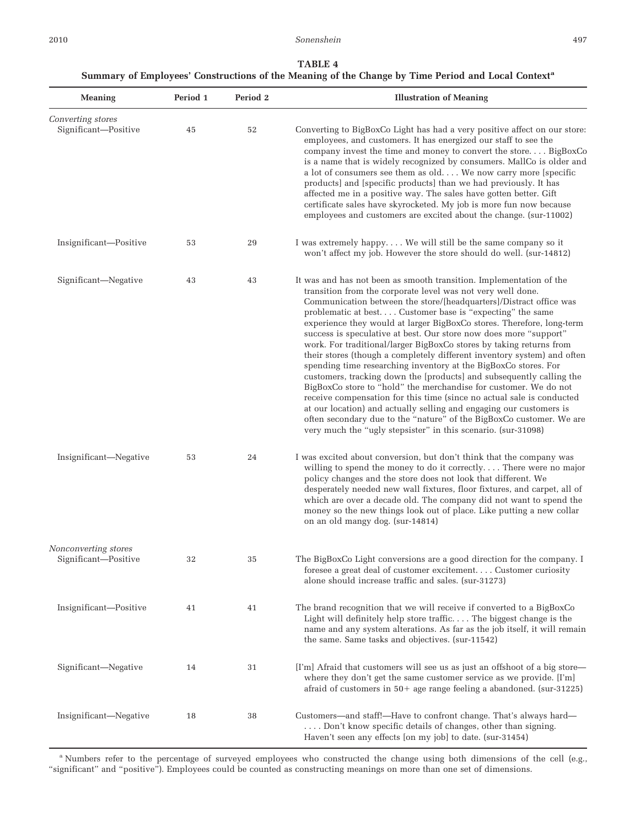# **TABLE 4**

# **Summary of Employees' Constructions of the Meaning of the Change by Time Period and Local Contexta**

| <b>Meaning</b>                               | Period 1 | Period 2 | <b>Illustration of Meaning</b>                                                                                                                                                                                                                                                                                                                                                                                                                                                                                                                                                                                                                                                                                                                                                                                                                                                                                                                                                                                                                                                |
|----------------------------------------------|----------|----------|-------------------------------------------------------------------------------------------------------------------------------------------------------------------------------------------------------------------------------------------------------------------------------------------------------------------------------------------------------------------------------------------------------------------------------------------------------------------------------------------------------------------------------------------------------------------------------------------------------------------------------------------------------------------------------------------------------------------------------------------------------------------------------------------------------------------------------------------------------------------------------------------------------------------------------------------------------------------------------------------------------------------------------------------------------------------------------|
| Converting stores<br>Significant-Positive    | 45       | 52       | Converting to BigBoxCo Light has had a very positive affect on our store:<br>employees, and customers. It has energized our staff to see the<br>company invest the time and money to convert the store BigBoxCo<br>is a name that is widely recognized by consumers. MallCo is older and<br>a lot of consumers see them as old We now carry more [specific<br>products] and [specific products] than we had previously. It has<br>affected me in a positive way. The sales have gotten better. Gift<br>certificate sales have skyrocketed. My job is more fun now because<br>employees and customers are excited about the change. (sur-11002)                                                                                                                                                                                                                                                                                                                                                                                                                                |
| Insignificant-Positive                       | 53       | 29       | I was extremely happy We will still be the same company so it<br>won't affect my job. However the store should do well. (sur-14812)                                                                                                                                                                                                                                                                                                                                                                                                                                                                                                                                                                                                                                                                                                                                                                                                                                                                                                                                           |
| Significant-Negative                         | 43       | 43       | It was and has not been as smooth transition. Implementation of the<br>transition from the corporate level was not very well done.<br>Communication between the store/[headquarters]/Distract office was<br>problematic at best Customer base is "expecting" the same<br>experience they would at larger BigBoxCo stores. Therefore, long-term<br>success is speculative at best. Our store now does more "support"<br>work. For traditional/larger BigBoxCo stores by taking returns from<br>their stores (though a completely different inventory system) and often<br>spending time researching inventory at the BigBoxCo stores. For<br>customers, tracking down the [products] and subsequently calling the<br>BigBoxCo store to "hold" the merchandise for customer. We do not<br>receive compensation for this time (since no actual sale is conducted<br>at our location) and actually selling and engaging our customers is<br>often secondary due to the "nature" of the BigBoxCo customer. We are<br>very much the "ugly stepsister" in this scenario. (sur-31098) |
| Insignificant—Negative                       | 53       | 24       | I was excited about conversion, but don't think that the company was<br>willing to spend the money to do it correctly There were no major<br>policy changes and the store does not look that different. We<br>desperately needed new wall fixtures, floor fixtures, and carpet, all of<br>which are over a decade old. The company did not want to spend the<br>money so the new things look out of place. Like putting a new collar<br>on an old mangy dog. (sur-14814)                                                                                                                                                                                                                                                                                                                                                                                                                                                                                                                                                                                                      |
| Nonconverting stores<br>Significant-Positive | 32       | 35       | The BigBoxCo Light conversions are a good direction for the company. I<br>foresee a great deal of customer excitement. Customer curiosity<br>alone should increase traffic and sales. (sur-31273)                                                                                                                                                                                                                                                                                                                                                                                                                                                                                                                                                                                                                                                                                                                                                                                                                                                                             |
| Insignificant-Positive                       | 41       | 41       | The brand recognition that we will receive if converted to a BigBoxCo<br>Light will definitely help store traffic The biggest change is the<br>name and any system alterations. As far as the job itself, it will remain<br>the same. Same tasks and objectives. (sur-11542)                                                                                                                                                                                                                                                                                                                                                                                                                                                                                                                                                                                                                                                                                                                                                                                                  |
| Significant-Negative                         | 14       | 31       | [I'm] Afraid that customers will see us as just an offshoot of a big store—<br>where they don't get the same customer service as we provide. [I'm]<br>afraid of customers in $50+$ age range feeling a abandoned. (sur-31225)                                                                                                                                                                                                                                                                                                                                                                                                                                                                                                                                                                                                                                                                                                                                                                                                                                                 |
| Insignificant—Negative                       | 18       | 38       | Customers—and staff!—Have to confront change. That's always hard—<br>Don't know specific details of changes, other than signing.<br>Haven't seen any effects [on my job] to date. (sur-31454)                                                                                                                                                                                                                                                                                                                                                                                                                                                                                                                                                                                                                                                                                                                                                                                                                                                                                 |

<sup>a</sup> Numbers refer to the percentage of surveyed employees who constructed the change using both dimensions of the cell (e.g., "significant" and "positive"). Employees could be counted as constructing meanings on more than one set of dimensions.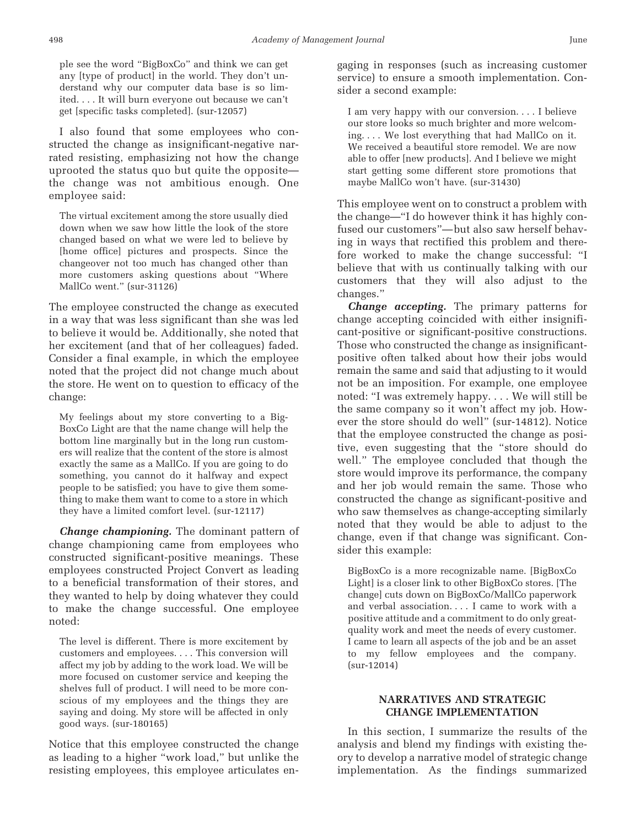ple see the word "BigBoxCo" and think we can get any [type of product] in the world. They don't understand why our computer data base is so limited. . . . It will burn everyone out because we can't get [specific tasks completed]. (sur-12057)

I also found that some employees who constructed the change as insignificant-negative narrated resisting, emphasizing not how the change uprooted the status quo but quite the opposite the change was not ambitious enough. One employee said:

The virtual excitement among the store usually died down when we saw how little the look of the store changed based on what we were led to believe by [home office] pictures and prospects. Since the changeover not too much has changed other than more customers asking questions about "Where MallCo went." (sur-31126)

The employee constructed the change as executed in a way that was less significant than she was led to believe it would be. Additionally, she noted that her excitement (and that of her colleagues) faded. Consider a final example, in which the employee noted that the project did not change much about the store. He went on to question to efficacy of the change:

My feelings about my store converting to a Big-BoxCo Light are that the name change will help the bottom line marginally but in the long run customers will realize that the content of the store is almost exactly the same as a MallCo. If you are going to do something, you cannot do it halfway and expect people to be satisfied; you have to give them something to make them want to come to a store in which they have a limited comfort level. (sur-12117)

*Change championing.* The dominant pattern of change championing came from employees who constructed significant-positive meanings. These employees constructed Project Convert as leading to a beneficial transformation of their stores, and they wanted to help by doing whatever they could to make the change successful. One employee noted:

The level is different. There is more excitement by customers and employees.... This conversion will affect my job by adding to the work load. We will be more focused on customer service and keeping the shelves full of product. I will need to be more conscious of my employees and the things they are saying and doing. My store will be affected in only good ways. (sur-180165)

Notice that this employee constructed the change as leading to a higher "work load," but unlike the resisting employees, this employee articulates engaging in responses (such as increasing customer service) to ensure a smooth implementation. Consider a second example:

I am very happy with our conversion. . . . I believe our store looks so much brighter and more welcoming. . . . We lost everything that had MallCo on it. We received a beautiful store remodel. We are now able to offer [new products]. And I believe we might start getting some different store promotions that maybe MallCo won't have. (sur-31430)

This employee went on to construct a problem with the change—"I do however think it has highly confused our customers"— but also saw herself behaving in ways that rectified this problem and therefore worked to make the change successful: "I believe that with us continually talking with our customers that they will also adjust to the changes."

*Change accepting.* The primary patterns for change accepting coincided with either insignificant-positive or significant-positive constructions. Those who constructed the change as insignificantpositive often talked about how their jobs would remain the same and said that adjusting to it would not be an imposition. For example, one employee noted: "I was extremely happy. . . . We will still be the same company so it won't affect my job. However the store should do well" (sur-14812). Notice that the employee constructed the change as positive, even suggesting that the "store should do well." The employee concluded that though the store would improve its performance, the company and her job would remain the same. Those who constructed the change as significant-positive and who saw themselves as change-accepting similarly noted that they would be able to adjust to the change, even if that change was significant. Consider this example:

BigBoxCo is a more recognizable name. [BigBoxCo Light] is a closer link to other BigBoxCo stores. [The change] cuts down on BigBoxCo/MallCo paperwork and verbal association. . . . I came to work with a positive attitude and a commitment to do only greatquality work and meet the needs of every customer. I came to learn all aspects of the job and be an asset to my fellow employees and the company. (sur-12014)

## **NARRATIVES AND STRATEGIC CHANGE IMPLEMENTATION**

In this section, I summarize the results of the analysis and blend my findings with existing theory to develop a narrative model of strategic change implementation. As the findings summarized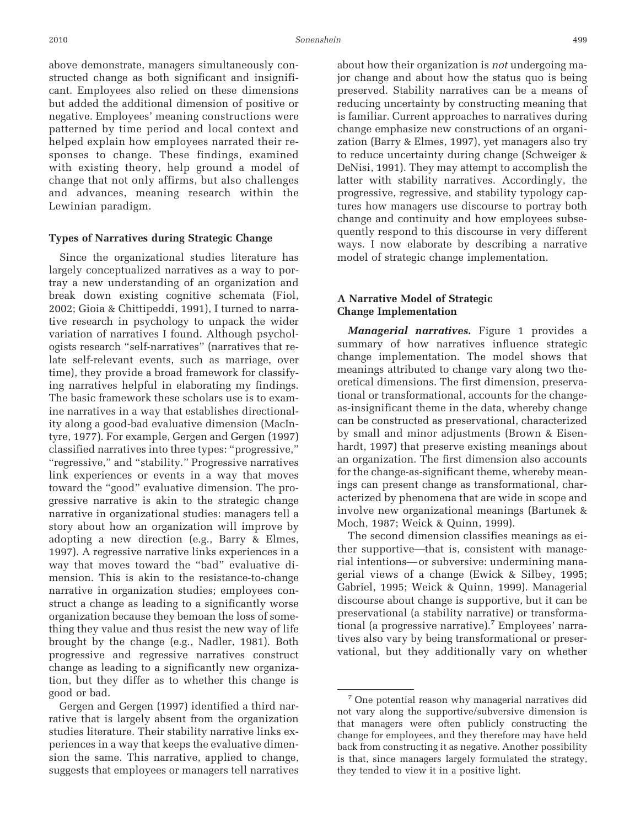above demonstrate, managers simultaneously constructed change as both significant and insignificant. Employees also relied on these dimensions but added the additional dimension of positive or negative. Employees' meaning constructions were patterned by time period and local context and helped explain how employees narrated their responses to change. These findings, examined with existing theory, help ground a model of change that not only affirms, but also challenges and advances, meaning research within the Lewinian paradigm.

#### **Types of Narratives during Strategic Change**

Since the organizational studies literature has largely conceptualized narratives as a way to portray a new understanding of an organization and break down existing cognitive schemata (Fiol, 2002; Gioia & Chittipeddi, 1991), I turned to narrative research in psychology to unpack the wider variation of narratives I found. Although psychologists research "self-narratives" (narratives that relate self-relevant events, such as marriage, over time), they provide a broad framework for classifying narratives helpful in elaborating my findings. The basic framework these scholars use is to examine narratives in a way that establishes directionality along a good-bad evaluative dimension (MacIntyre, 1977). For example, Gergen and Gergen (1997) classified narratives into three types: "progressive," "regressive," and "stability." Progressive narratives link experiences or events in a way that moves toward the "good" evaluative dimension. The progressive narrative is akin to the strategic change narrative in organizational studies: managers tell a story about how an organization will improve by adopting a new direction (e.g., Barry & Elmes, 1997). A regressive narrative links experiences in a way that moves toward the "bad" evaluative dimension. This is akin to the resistance-to-change narrative in organization studies; employees construct a change as leading to a significantly worse organization because they bemoan the loss of something they value and thus resist the new way of life brought by the change (e.g., Nadler, 1981). Both progressive and regressive narratives construct change as leading to a significantly new organization, but they differ as to whether this change is good or bad.

Gergen and Gergen (1997) identified a third narrative that is largely absent from the organization studies literature. Their stability narrative links experiences in a way that keeps the evaluative dimension the same. This narrative, applied to change, suggests that employees or managers tell narratives

about how their organization is *not* undergoing major change and about how the status quo is being preserved. Stability narratives can be a means of reducing uncertainty by constructing meaning that is familiar. Current approaches to narratives during change emphasize new constructions of an organization (Barry & Elmes, 1997), yet managers also try to reduce uncertainty during change (Schweiger & DeNisi, 1991). They may attempt to accomplish the latter with stability narratives. Accordingly, the progressive, regressive, and stability typology captures how managers use discourse to portray both change and continuity and how employees subsequently respond to this discourse in very different ways. I now elaborate by describing a narrative model of strategic change implementation.

### **A Narrative Model of Strategic Change Implementation**

*Managerial narratives.* Figure 1 provides a summary of how narratives influence strategic change implementation. The model shows that meanings attributed to change vary along two theoretical dimensions. The first dimension, preservational or transformational, accounts for the changeas-insignificant theme in the data, whereby change can be constructed as preservational, characterized by small and minor adjustments (Brown & Eisenhardt, 1997) that preserve existing meanings about an organization. The first dimension also accounts for the change-as-significant theme, whereby meanings can present change as transformational, characterized by phenomena that are wide in scope and involve new organizational meanings (Bartunek & Moch, 1987; Weick & Quinn, 1999).

The second dimension classifies meanings as either supportive—that is, consistent with managerial intentions— or subversive: undermining managerial views of a change (Ewick & Silbey, 1995; Gabriel, 1995; Weick & Quinn, 1999). Managerial discourse about change is supportive, but it can be preservational (a stability narrative) or transformational (a progressive narrative).<sup>7</sup> Employees' narratives also vary by being transformational or preservational, but they additionally vary on whether

<sup>7</sup> One potential reason why managerial narratives did not vary along the supportive/subversive dimension is that managers were often publicly constructing the change for employees, and they therefore may have held back from constructing it as negative. Another possibility is that, since managers largely formulated the strategy, they tended to view it in a positive light.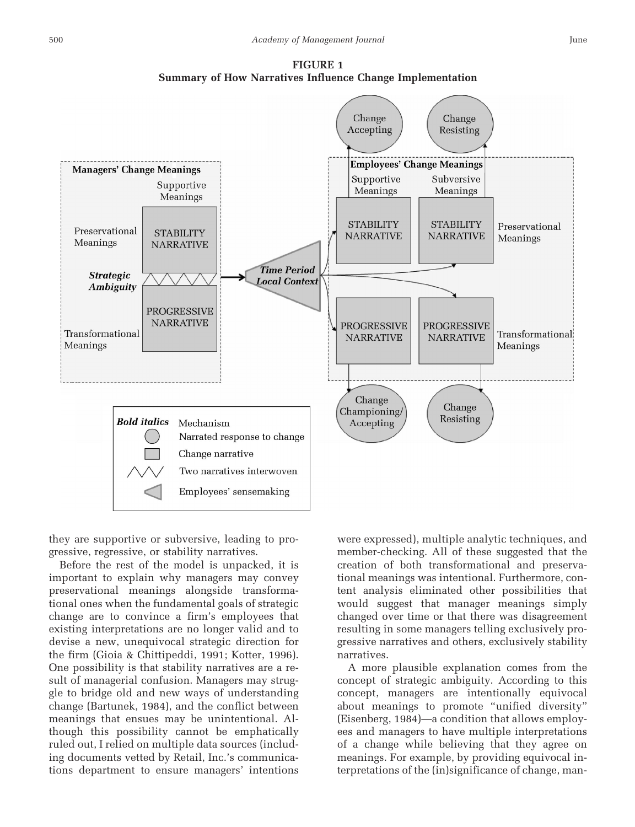**FIGURE 1 Summary of How Narratives Influence Change Implementation**



they are supportive or subversive, leading to progressive, regressive, or stability narratives.

Before the rest of the model is unpacked, it is important to explain why managers may convey preservational meanings alongside transformational ones when the fundamental goals of strategic change are to convince a firm's employees that existing interpretations are no longer valid and to devise a new, unequivocal strategic direction for the firm (Gioia & Chittipeddi, 1991; Kotter, 1996). One possibility is that stability narratives are a result of managerial confusion. Managers may struggle to bridge old and new ways of understanding change (Bartunek, 1984), and the conflict between meanings that ensues may be unintentional. Although this possibility cannot be emphatically ruled out, I relied on multiple data sources (including documents vetted by Retail, Inc.'s communications department to ensure managers' intentions

were expressed), multiple analytic techniques, and member-checking. All of these suggested that the creation of both transformational and preservational meanings was intentional. Furthermore, content analysis eliminated other possibilities that would suggest that manager meanings simply changed over time or that there was disagreement resulting in some managers telling exclusively progressive narratives and others, exclusively stability narratives.

A more plausible explanation comes from the concept of strategic ambiguity. According to this concept, managers are intentionally equivocal about meanings to promote "unified diversity" (Eisenberg, 1984)—a condition that allows employees and managers to have multiple interpretations of a change while believing that they agree on meanings. For example, by providing equivocal interpretations of the (in)significance of change, man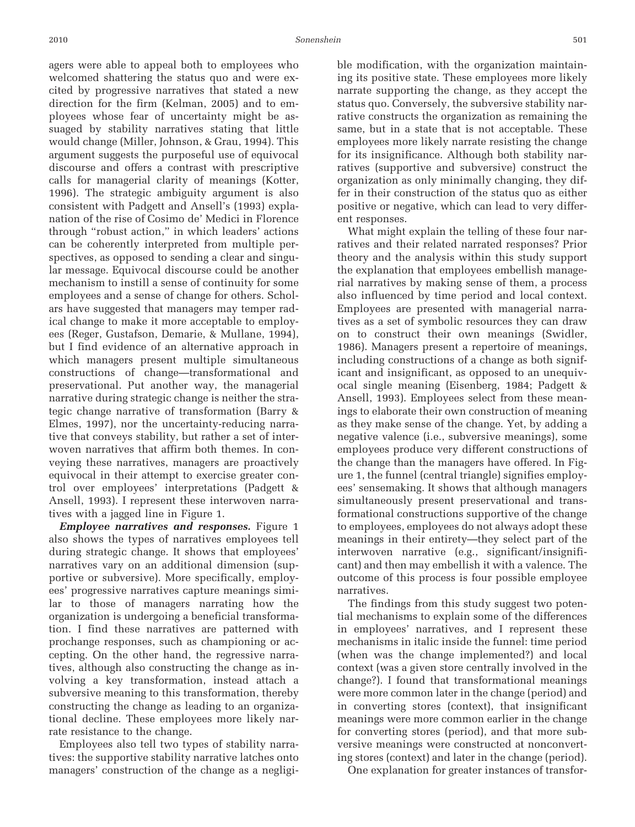agers were able to appeal both to employees who welcomed shattering the status quo and were excited by progressive narratives that stated a new direction for the firm (Kelman, 2005) and to employees whose fear of uncertainty might be assuaged by stability narratives stating that little would change (Miller, Johnson, & Grau, 1994). This argument suggests the purposeful use of equivocal discourse and offers a contrast with prescriptive calls for managerial clarity of meanings (Kotter, 1996). The strategic ambiguity argument is also consistent with Padgett and Ansell's (1993) explanation of the rise of Cosimo de' Medici in Florence through "robust action," in which leaders' actions can be coherently interpreted from multiple perspectives, as opposed to sending a clear and singular message. Equivocal discourse could be another mechanism to instill a sense of continuity for some employees and a sense of change for others. Scholars have suggested that managers may temper radical change to make it more acceptable to employees (Reger, Gustafson, Demarie, & Mullane, 1994), but I find evidence of an alternative approach in which managers present multiple simultaneous constructions of change—transformational and preservational. Put another way, the managerial narrative during strategic change is neither the strategic change narrative of transformation (Barry & Elmes, 1997), nor the uncertainty-reducing narrative that conveys stability, but rather a set of interwoven narratives that affirm both themes. In conveying these narratives, managers are proactively equivocal in their attempt to exercise greater control over employees' interpretations (Padgett & Ansell, 1993). I represent these interwoven narratives with a jagged line in Figure 1.

*Employee narratives and responses.* Figure 1 also shows the types of narratives employees tell during strategic change. It shows that employees' narratives vary on an additional dimension (supportive or subversive). More specifically, employees' progressive narratives capture meanings similar to those of managers narrating how the organization is undergoing a beneficial transformation. I find these narratives are patterned with prochange responses, such as championing or accepting. On the other hand, the regressive narratives, although also constructing the change as involving a key transformation, instead attach a subversive meaning to this transformation, thereby constructing the change as leading to an organizational decline. These employees more likely narrate resistance to the change.

Employees also tell two types of stability narratives: the supportive stability narrative latches onto managers' construction of the change as a negligible modification, with the organization maintaining its positive state. These employees more likely narrate supporting the change, as they accept the status quo. Conversely, the subversive stability narrative constructs the organization as remaining the same, but in a state that is not acceptable. These employees more likely narrate resisting the change for its insignificance. Although both stability narratives (supportive and subversive) construct the organization as only minimally changing, they differ in their construction of the status quo as either positive or negative, which can lead to very different responses.

What might explain the telling of these four narratives and their related narrated responses? Prior theory and the analysis within this study support the explanation that employees embellish managerial narratives by making sense of them, a process also influenced by time period and local context. Employees are presented with managerial narratives as a set of symbolic resources they can draw on to construct their own meanings (Swidler, 1986). Managers present a repertoire of meanings, including constructions of a change as both significant and insignificant, as opposed to an unequivocal single meaning (Eisenberg, 1984; Padgett & Ansell, 1993). Employees select from these meanings to elaborate their own construction of meaning as they make sense of the change. Yet, by adding a negative valence (i.e., subversive meanings), some employees produce very different constructions of the change than the managers have offered. In Figure 1, the funnel (central triangle) signifies employees' sensemaking. It shows that although managers simultaneously present preservational and transformational constructions supportive of the change to employees, employees do not always adopt these meanings in their entirety—they select part of the interwoven narrative (e.g., significant/insignificant) and then may embellish it with a valence. The outcome of this process is four possible employee narratives.

The findings from this study suggest two potential mechanisms to explain some of the differences in employees' narratives, and I represent these mechanisms in italic inside the funnel: time period (when was the change implemented?) and local context (was a given store centrally involved in the change?). I found that transformational meanings were more common later in the change (period) and in converting stores (context), that insignificant meanings were more common earlier in the change for converting stores (period), and that more subversive meanings were constructed at nonconverting stores (context) and later in the change (period).

One explanation for greater instances of transfor-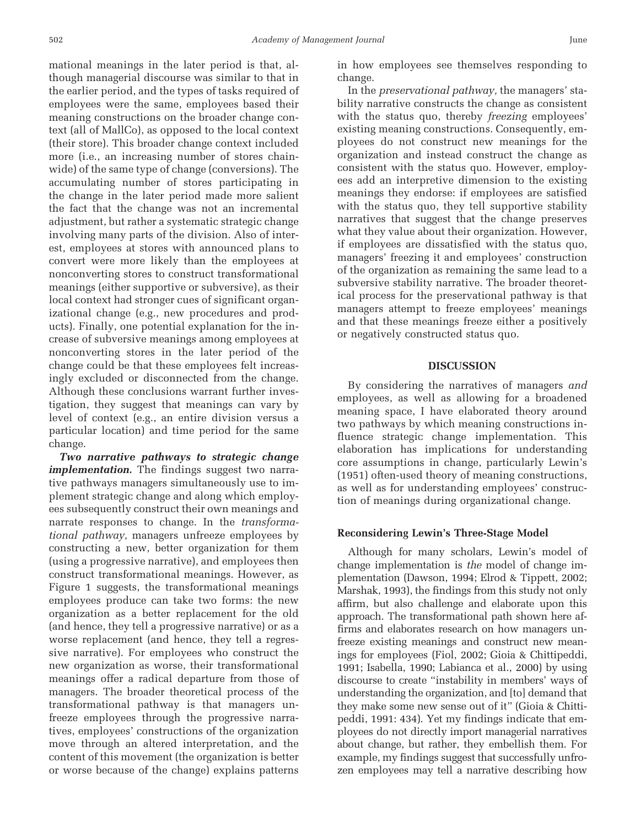mational meanings in the later period is that, although managerial discourse was similar to that in the earlier period, and the types of tasks required of employees were the same, employees based their meaning constructions on the broader change context (all of MallCo), as opposed to the local context (their store). This broader change context included more (i.e., an increasing number of stores chainwide) of the same type of change (conversions). The accumulating number of stores participating in the change in the later period made more salient the fact that the change was not an incremental adjustment, but rather a systematic strategic change involving many parts of the division. Also of interest, employees at stores with announced plans to convert were more likely than the employees at nonconverting stores to construct transformational meanings (either supportive or subversive), as their local context had stronger cues of significant organizational change (e.g., new procedures and products). Finally, one potential explanation for the increase of subversive meanings among employees at nonconverting stores in the later period of the change could be that these employees felt increasingly excluded or disconnected from the change. Although these conclusions warrant further investigation, they suggest that meanings can vary by level of context (e.g., an entire division versus a particular location) and time period for the same change.

*Two narrative pathways to strategic change implementation.* The findings suggest two narrative pathways managers simultaneously use to implement strategic change and along which employees subsequently construct their own meanings and narrate responses to change. In the *transformational pathway*, managers unfreeze employees by constructing a new, better organization for them (using a progressive narrative), and employees then construct transformational meanings. However, as Figure 1 suggests, the transformational meanings employees produce can take two forms: the new organization as a better replacement for the old (and hence, they tell a progressive narrative) or as a worse replacement (and hence, they tell a regressive narrative). For employees who construct the new organization as worse, their transformational meanings offer a radical departure from those of managers. The broader theoretical process of the transformational pathway is that managers unfreeze employees through the progressive narratives, employees' constructions of the organization move through an altered interpretation, and the content of this movement (the organization is better or worse because of the change) explains patterns

in how employees see themselves responding to change.

In the *preservational pathway,* the managers' stability narrative constructs the change as consistent with the status quo, thereby *freezing* employees' existing meaning constructions. Consequently, employees do not construct new meanings for the organization and instead construct the change as consistent with the status quo. However, employees add an interpretive dimension to the existing meanings they endorse: if employees are satisfied with the status quo, they tell supportive stability narratives that suggest that the change preserves what they value about their organization. However, if employees are dissatisfied with the status quo, managers' freezing it and employees' construction of the organization as remaining the same lead to a subversive stability narrative. The broader theoretical process for the preservational pathway is that managers attempt to freeze employees' meanings and that these meanings freeze either a positively or negatively constructed status quo.

#### **DISCUSSION**

By considering the narratives of managers *and* employees, as well as allowing for a broadened meaning space, I have elaborated theory around two pathways by which meaning constructions influence strategic change implementation. This elaboration has implications for understanding core assumptions in change, particularly Lewin's (1951) often-used theory of meaning constructions, as well as for understanding employees' construction of meanings during organizational change.

## **Reconsidering Lewin's Three-Stage Model**

Although for many scholars, Lewin's model of change implementation is *the* model of change implementation (Dawson, 1994; Elrod & Tippett, 2002; Marshak, 1993), the findings from this study not only affirm, but also challenge and elaborate upon this approach. The transformational path shown here affirms and elaborates research on how managers unfreeze existing meanings and construct new meanings for employees (Fiol, 2002; Gioia & Chittipeddi, 1991; Isabella, 1990; Labianca et al., 2000) by using discourse to create "instability in members' ways of understanding the organization, and [to] demand that they make some new sense out of it" (Gioia & Chittipeddi, 1991: 434). Yet my findings indicate that employees do not directly import managerial narratives about change, but rather, they embellish them. For example, my findings suggest that successfully unfrozen employees may tell a narrative describing how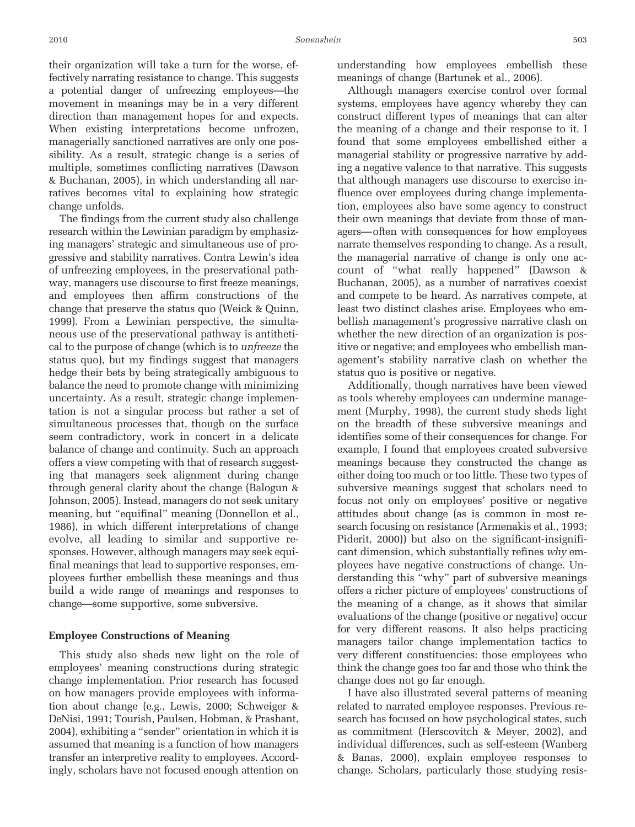their organization will take a turn for the worse, effectively narrating resistance to change. This suggests a potential danger of unfreezing employees—the movement in meanings may be in a very different direction than management hopes for and expects. When existing interpretations become unfrozen, managerially sanctioned narratives are only one possibility. As a result, strategic change is a series of multiple, sometimes conflicting narratives (Dawson & Buchanan, 2005), in which understanding all narratives becomes vital to explaining how strategic change unfolds.

The findings from the current study also challenge research within the Lewinian paradigm by emphasizing managers' strategic and simultaneous use of progressive and stability narratives. Contra Lewin's idea of unfreezing employees, in the preservational pathway, managers use discourse to first freeze meanings, and employees then affirm constructions of the change that preserve the status quo (Weick & Quinn, 1999). From a Lewinian perspective, the simultaneous use of the preservational pathway is antithetical to the purpose of change (which is to *unfreeze* the status quo), but my findings suggest that managers hedge their bets by being strategically ambiguous to balance the need to promote change with minimizing uncertainty. As a result, strategic change implementation is not a singular process but rather a set of simultaneous processes that, though on the surface seem contradictory, work in concert in a delicate balance of change and continuity. Such an approach offers a view competing with that of research suggesting that managers seek alignment during change through general clarity about the change (Balogun & Johnson, 2005). Instead, managers do not seek unitary meaning, but "equifinal" meaning (Donnellon et al., 1986), in which different interpretations of change evolve, all leading to similar and supportive responses. However, although managers may seek equifinal meanings that lead to supportive responses, employees further embellish these meanings and thus build a wide range of meanings and responses to change—some supportive, some subversive.

#### **Employee Constructions of Meaning**

This study also sheds new light on the role of employees' meaning constructions during strategic change implementation. Prior research has focused on how managers provide employees with information about change (e.g., Lewis, 2000; Schweiger & DeNisi, 1991; Tourish, Paulsen, Hobman, & Prashant, 2004), exhibiting a "sender" orientation in which it is assumed that meaning is a function of how managers transfer an interpretive reality to employees. Accordingly, scholars have not focused enough attention on

understanding how employees embellish these meanings of change (Bartunek et al., 2006).

Although managers exercise control over formal systems, employees have agency whereby they can construct different types of meanings that can alter the meaning of a change and their response to it. I found that some employees embellished either a managerial stability or progressive narrative by adding a negative valence to that narrative. This suggests that although managers use discourse to exercise influence over employees during change implementation, employees also have some agency to construct their own meanings that deviate from those of managers—often with consequences for how employees narrate themselves responding to change. As a result, the managerial narrative of change is only one account of "what really happened" (Dawson & Buchanan, 2005), as a number of narratives coexist and compete to be heard. As narratives compete, at least two distinct clashes arise. Employees who embellish management's progressive narrative clash on whether the new direction of an organization is positive or negative; and employees who embellish management's stability narrative clash on whether the status quo is positive or negative.

Additionally, though narratives have been viewed as tools whereby employees can undermine management (Murphy, 1998), the current study sheds light on the breadth of these subversive meanings and identifies some of their consequences for change. For example, I found that employees created subversive meanings because they constructed the change as either doing too much or too little. These two types of subversive meanings suggest that scholars need to focus not only on employees' positive or negative attitudes about change (as is common in most research focusing on resistance (Armenakis et al., 1993; Piderit, 2000)) but also on the significant-insignificant dimension, which substantially refines *why* employees have negative constructions of change. Understanding this "why" part of subversive meanings offers a richer picture of employees' constructions of the meaning of a change, as it shows that similar evaluations of the change (positive or negative) occur for very different reasons. It also helps practicing managers tailor change implementation tactics to very different constituencies: those employees who think the change goes too far and those who think the change does not go far enough.

I have also illustrated several patterns of meaning related to narrated employee responses. Previous research has focused on how psychological states, such as commitment (Herscovitch & Meyer, 2002), and individual differences, such as self-esteem (Wanberg & Banas, 2000), explain employee responses to change. Scholars, particularly those studying resis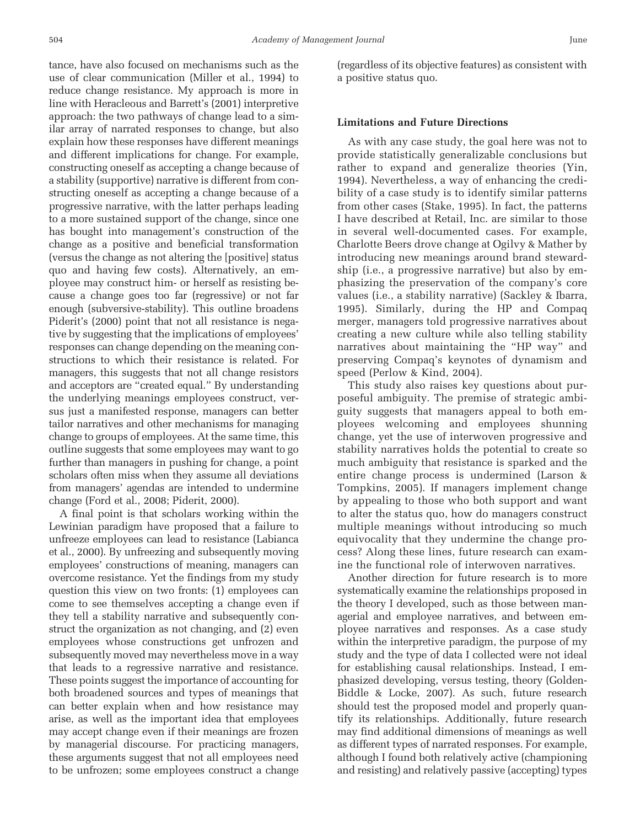tance, have also focused on mechanisms such as the use of clear communication (Miller et al., 1994) to reduce change resistance. My approach is more in line with Heracleous and Barrett's (2001) interpretive approach: the two pathways of change lead to a similar array of narrated responses to change, but also explain how these responses have different meanings and different implications for change. For example, constructing oneself as accepting a change because of a stability (supportive) narrative is different from constructing oneself as accepting a change because of a progressive narrative, with the latter perhaps leading to a more sustained support of the change, since one has bought into management's construction of the change as a positive and beneficial transformation (versus the change as not altering the [positive] status quo and having few costs). Alternatively, an employee may construct him- or herself as resisting because a change goes too far (regressive) or not far enough (subversive-stability). This outline broadens Piderit's (2000) point that not all resistance is negative by suggesting that the implications of employees' responses can change depending on the meaning constructions to which their resistance is related. For managers, this suggests that not all change resistors and acceptors are "created equal." By understanding the underlying meanings employees construct, versus just a manifested response, managers can better tailor narratives and other mechanisms for managing change to groups of employees. At the same time, this outline suggests that some employees may want to go further than managers in pushing for change, a point scholars often miss when they assume all deviations from managers' agendas are intended to undermine change (Ford et al., 2008; Piderit, 2000).

A final point is that scholars working within the Lewinian paradigm have proposed that a failure to unfreeze employees can lead to resistance (Labianca et al., 2000). By unfreezing and subsequently moving employees' constructions of meaning, managers can overcome resistance. Yet the findings from my study question this view on two fronts: (1) employees can come to see themselves accepting a change even if they tell a stability narrative and subsequently construct the organization as not changing, and (2) even employees whose constructions get unfrozen and subsequently moved may nevertheless move in a way that leads to a regressive narrative and resistance. These points suggest the importance of accounting for both broadened sources and types of meanings that can better explain when and how resistance may arise, as well as the important idea that employees may accept change even if their meanings are frozen by managerial discourse. For practicing managers, these arguments suggest that not all employees need to be unfrozen; some employees construct a change

(regardless of its objective features) as consistent with a positive status quo.

#### **Limitations and Future Directions**

As with any case study, the goal here was not to provide statistically generalizable conclusions but rather to expand and generalize theories (Yin, 1994). Nevertheless, a way of enhancing the credibility of a case study is to identify similar patterns from other cases (Stake, 1995). In fact, the patterns I have described at Retail, Inc. are similar to those in several well-documented cases. For example, Charlotte Beers drove change at Ogilvy & Mather by introducing new meanings around brand stewardship (i.e., a progressive narrative) but also by emphasizing the preservation of the company's core values (i.e., a stability narrative) (Sackley & Ibarra, 1995). Similarly, during the HP and Compaq merger, managers told progressive narratives about creating a new culture while also telling stability narratives about maintaining the "HP way" and preserving Compaq's keynotes of dynamism and speed (Perlow & Kind, 2004).

This study also raises key questions about purposeful ambiguity. The premise of strategic ambiguity suggests that managers appeal to both employees welcoming and employees shunning change, yet the use of interwoven progressive and stability narratives holds the potential to create so much ambiguity that resistance is sparked and the entire change process is undermined (Larson & Tompkins, 2005). If managers implement change by appealing to those who both support and want to alter the status quo, how do managers construct multiple meanings without introducing so much equivocality that they undermine the change process? Along these lines, future research can examine the functional role of interwoven narratives.

Another direction for future research is to more systematically examine the relationships proposed in the theory I developed, such as those between managerial and employee narratives, and between employee narratives and responses. As a case study within the interpretive paradigm, the purpose of my study and the type of data I collected were not ideal for establishing causal relationships. Instead, I emphasized developing, versus testing, theory (Golden-Biddle & Locke, 2007). As such, future research should test the proposed model and properly quantify its relationships. Additionally, future research may find additional dimensions of meanings as well as different types of narrated responses. For example, although I found both relatively active (championing and resisting) and relatively passive (accepting) types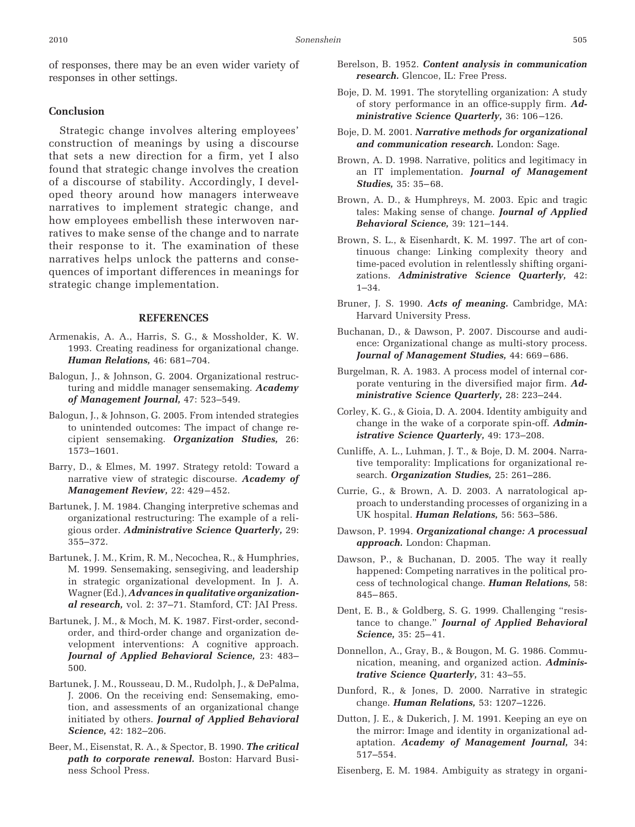of responses, there may be an even wider variety of responses in other settings.

#### **Conclusion**

Strategic change involves altering employees' construction of meanings by using a discourse that sets a new direction for a firm, yet I also found that strategic change involves the creation of a discourse of stability. Accordingly, I developed theory around how managers interweave narratives to implement strategic change, and how employees embellish these interwoven narratives to make sense of the change and to narrate their response to it. The examination of these narratives helps unlock the patterns and consequences of important differences in meanings for strategic change implementation.

#### **REFERENCES**

- Armenakis, A. A., Harris, S. G., & Mossholder, K. W. 1993. Creating readiness for organizational change. *Human Relations,* 46: 681–704.
- Balogun, J., & Johnson, G. 2004. Organizational restructuring and middle manager sensemaking. *Academy of Management Journal,* 47: 523–549.
- Balogun, J., & Johnson, G. 2005. From intended strategies to unintended outcomes: The impact of change recipient sensemaking. *Organization Studies,* 26: 1573–1601.
- Barry, D., & Elmes, M. 1997. Strategy retold: Toward a narrative view of strategic discourse. *Academy of Management Review,* 22: 429 – 452.
- Bartunek, J. M. 1984. Changing interpretive schemas and organizational restructuring: The example of a religious order. *Administrative Science Quarterly,* 29: 355–372.
- Bartunek, J. M., Krim, R. M., Necochea, R., & Humphries, M. 1999. Sensemaking, sensegiving, and leadership in strategic organizational development. In J. A. Wagner (Ed.), *Advances in qualitative organizational research,* vol. 2: 37–71. Stamford, CT: JAI Press.
- Bartunek, J. M., & Moch, M. K. 1987. First-order, secondorder, and third-order change and organization development interventions: A cognitive approach. *Journal of Applied Behavioral Science,* 23: 483– 500.
- Bartunek, J. M., Rousseau, D. M., Rudolph, J., & DePalma, J. 2006. On the receiving end: Sensemaking, emotion, and assessments of an organizational change initiated by others. *Journal of Applied Behavioral Science,* 42: 182–206.
- Beer, M., Eisenstat, R. A., & Spector, B. 1990. *The critical path to corporate renewal.* Boston: Harvard Business School Press.
- Berelson, B. 1952. *Content analysis in communication research.* Glencoe, IL: Free Press.
- Boje, D. M. 1991. The storytelling organization: A study of story performance in an office-supply firm. *Administrative Science Quarterly,* 36: 106 –126.
- Boje, D. M. 2001. *Narrative methods for organizational and communication research.* London: Sage.
- Brown, A. D. 1998. Narrative, politics and legitimacy in an IT implementation. *Journal of Management Studies,* 35: 35– 68.
- Brown, A. D., & Humphreys, M. 2003. Epic and tragic tales: Making sense of change. *Journal of Applied Behavioral Science,* 39: 121–144.
- Brown, S. L., & Eisenhardt, K. M. 1997. The art of continuous change: Linking complexity theory and time-paced evolution in relentlessly shifting organizations. *Administrative Science Quarterly,* 42: 1–34.
- Bruner, J. S. 1990. *Acts of meaning.* Cambridge, MA: Harvard University Press.
- Buchanan, D., & Dawson, P. 2007. Discourse and audience: Organizational change as multi-story process. *Journal of Management Studies,* 44: 669 – 686.
- Burgelman, R. A. 1983. A process model of internal corporate venturing in the diversified major firm. *Administrative Science Quarterly,* 28: 223–244.
- Corley, K. G., & Gioia, D. A. 2004. Identity ambiguity and change in the wake of a corporate spin-off. *Administrative Science Quarterly,* 49: 173–208.
- Cunliffe, A. L., Luhman, J. T., & Boje, D. M. 2004. Narrative temporality: Implications for organizational research. *Organization Studies,* 25: 261–286.
- Currie, G., & Brown, A. D. 2003. A narratological approach to understanding processes of organizing in a UK hospital. *Human Relations,* 56: 563–586.
- Dawson, P. 1994. *Organizational change: A processual approach.* London: Chapman.
- Dawson, P., & Buchanan, D. 2005. The way it really happened: Competing narratives in the political process of technological change. *Human Relations,* 58: 845– 865.
- Dent, E. B., & Goldberg, S. G. 1999. Challenging "resistance to change." *Journal of Applied Behavioral Science,* 35: 25– 41.
- Donnellon, A., Gray, B., & Bougon, M. G. 1986. Communication, meaning, and organized action. *Administrative Science Quarterly,* 31: 43–55.
- Dunford, R., & Jones, D. 2000. Narrative in strategic change. *Human Relations,* 53: 1207–1226.
- Dutton, J. E., & Dukerich, J. M. 1991. Keeping an eye on the mirror: Image and identity in organizational adaptation. *Academy of Management Journal,* 34: 517–554.
- Eisenberg, E. M. 1984. Ambiguity as strategy in organi-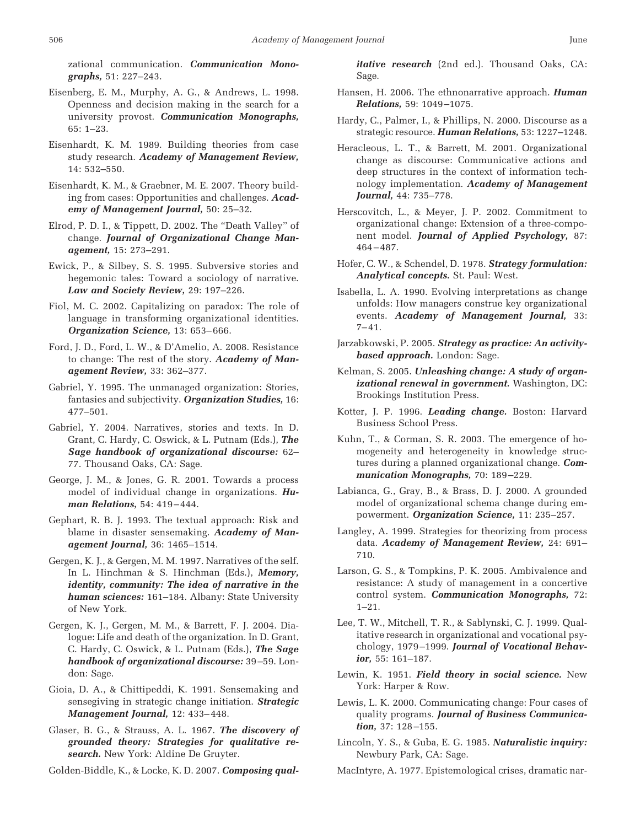zational communication. *Communication Monographs,* 51: 227–243.

- Eisenberg, E. M., Murphy, A. G., & Andrews, L. 1998. Openness and decision making in the search for a university provost. *Communication Monographs,* 65: 1–23.
- Eisenhardt, K. M. 1989. Building theories from case study research. *Academy of Management Review,* 14: 532–550.
- Eisenhardt, K. M., & Graebner, M. E. 2007. Theory building from cases: Opportunities and challenges. *Academy of Management Journal,* 50: 25–32.
- Elrod, P. D. I., & Tippett, D. 2002. The "Death Valley" of change. *Journal of Organizational Change Management,* 15: 273–291.
- Ewick, P., & Silbey, S. S. 1995. Subversive stories and hegemonic tales: Toward a sociology of narrative. *Law and Society Review,* 29: 197–226.
- Fiol, M. C. 2002. Capitalizing on paradox: The role of language in transforming organizational identities. *Organization Science,* 13: 653– 666.
- Ford, J. D., Ford, L. W., & D'Amelio, A. 2008. Resistance to change: The rest of the story. *Academy of Management Review,* 33: 362–377.
- Gabriel, Y. 1995. The unmanaged organization: Stories, fantasies and subjectivity. *Organization Studies,* 16: 477–501.
- Gabriel, Y. 2004. Narratives, stories and texts. In D. Grant, C. Hardy, C. Oswick, & L. Putnam (Eds.), *The Sage handbook of organizational discourse:* 62– 77. Thousand Oaks, CA: Sage.
- George, J. M., & Jones, G. R. 2001. Towards a process model of individual change in organizations. *Human Relations,* 54: 419 – 444.
- Gephart, R. B. J. 1993. The textual approach: Risk and blame in disaster sensemaking. *Academy of Management Journal,* 36: 1465–1514.
- Gergen, K. J., & Gergen, M. M. 1997. Narratives of the self. In L. Hinchman & S. Hinchman (Eds.), *Memory, identity, community: The idea of narrative in the human sciences:* 161–184. Albany: State University of New York.
- Gergen, K. J., Gergen, M. M., & Barrett, F. J. 2004. Dialogue: Life and death of the organization. In D. Grant, C. Hardy, C. Oswick, & L. Putnam (Eds.), *The Sage handbook of organizational discourse:* 39 –59. London: Sage.
- Gioia, D. A., & Chittipeddi, K. 1991. Sensemaking and sensegiving in strategic change initiation. *Strategic Management Journal,* 12: 433– 448.
- Glaser, B. G., & Strauss, A. L. 1967. *The discovery of grounded theory: Strategies for qualitative research.* New York: Aldine De Gruyter.

Golden-Biddle, K., & Locke, K. D. 2007. *Composing qual-*

*itative research* (2nd ed.). Thousand Oaks, CA: Sage.

- Hansen, H. 2006. The ethnonarrative approach. *Human Relations,* 59: 1049 –1075.
- Hardy, C., Palmer, I., & Phillips, N. 2000. Discourse as a strategic resource. *Human Relations,* 53: 1227–1248.
- Heracleous, L. T., & Barrett, M. 2001. Organizational change as discourse: Communicative actions and deep structures in the context of information technology implementation. *Academy of Management Journal,* 44: 735–778.
- Herscovitch, L., & Meyer, J. P. 2002. Commitment to organizational change: Extension of a three-component model. *Journal of Applied Psychology,* 87: 464 – 487.
- Hofer, C. W., & Schendel, D. 1978. *Strategy formulation: Analytical concepts.* St. Paul: West.
- Isabella, L. A. 1990. Evolving interpretations as change unfolds: How managers construe key organizational events. *Academy of Management Journal,* 33:  $7 - 41.$
- Jarzabkowski, P. 2005. *Strategy as practice: An activitybased approach.* London: Sage.
- Kelman, S. 2005. *Unleashing change: A study of organizational renewal in government.* Washington, DC: Brookings Institution Press.
- Kotter, J. P. 1996. *Leading change.* Boston: Harvard Business School Press.
- Kuhn, T., & Corman, S. R. 2003. The emergence of homogeneity and heterogeneity in knowledge structures during a planned organizational change. *Communication Monographs,* 70: 189 –229.
- Labianca, G., Gray, B., & Brass, D. J. 2000. A grounded model of organizational schema change during empowerment. *Organization Science,* 11: 235–257.
- Langley, A. 1999. Strategies for theorizing from process data. *Academy of Management Review,* 24: 691– 710.
- Larson, G. S., & Tompkins, P. K. 2005. Ambivalence and resistance: A study of management in a concertive control system. *Communication Monographs,* 72: 1–21.
- Lee, T. W., Mitchell, T. R., & Sablynski, C. J. 1999. Qualitative research in organizational and vocational psychology, 1979 –1999. *Journal of Vocational Behavior,* 55: 161–187.
- Lewin, K. 1951. *Field theory in social science.* New York: Harper & Row.
- Lewis, L. K. 2000. Communicating change: Four cases of quality programs. *Journal of Business Communication,* 37: 128 –155.
- Lincoln, Y. S., & Guba, E. G. 1985. *Naturalistic inquiry:* Newbury Park, CA: Sage.
- MacIntyre, A. 1977. Epistemological crises, dramatic nar-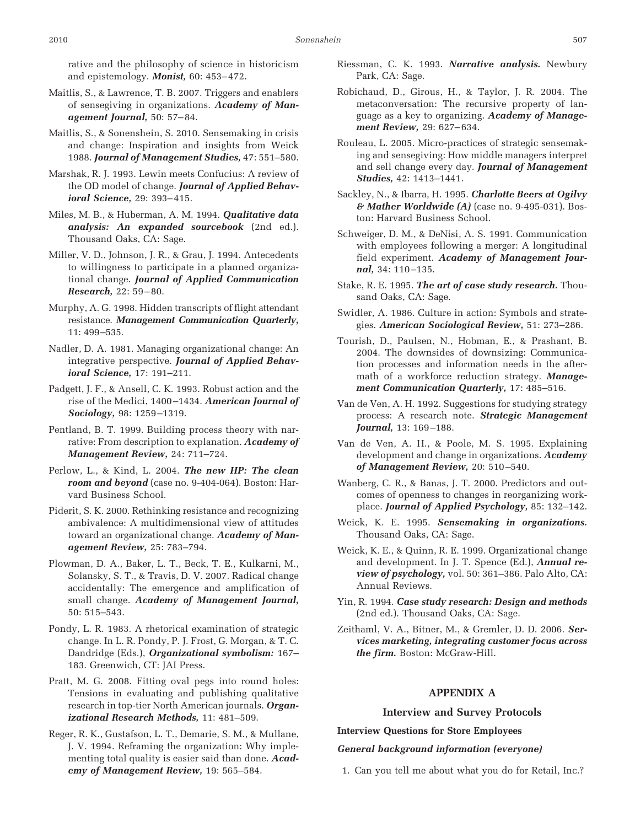rative and the philosophy of science in historicism and epistemology. *Monist,* 60: 453– 472.

- Maitlis, S., & Lawrence, T. B. 2007. Triggers and enablers of sensegiving in organizations. *Academy of Management Journal,* 50: 57– 84.
- Maitlis, S., & Sonenshein, S. 2010. Sensemaking in crisis and change: Inspiration and insights from Weick 1988. *Journal of Management Studies,* 47: 551–580.
- Marshak, R. J. 1993. Lewin meets Confucius: A review of the OD model of change. *Journal of Applied Behavioral Science,* 29: 393– 415.
- Miles, M. B., & Huberman, A. M. 1994. *Qualitative data analysis: An expanded sourcebook* (2nd ed.). Thousand Oaks, CA: Sage.
- Miller, V. D., Johnson, J. R., & Grau, J. 1994. Antecedents to willingness to participate in a planned organizational change. *Journal of Applied Communication Research,* 22: 59-80.
- Murphy, A. G. 1998. Hidden transcripts of flight attendant resistance. *Management Communication Quarterly,* 11: 499–535.
- Nadler, D. A. 1981. Managing organizational change: An integrative perspective. *Journal of Applied Behavioral Science,* 17: 191–211.
- Padgett, J. F., & Ansell, C. K. 1993. Robust action and the rise of the Medici, 1400 –1434. *American Journal of Sociology,* 98: 1259 –1319.
- Pentland, B. T. 1999. Building process theory with narrative: From description to explanation. *Academy of Management Review,* 24: 711–724.
- Perlow, L., & Kind, L. 2004. *The new HP: The clean room and beyond* (case no. 9-404-064). Boston: Harvard Business School.
- Piderit, S. K. 2000. Rethinking resistance and recognizing ambivalence: A multidimensional view of attitudes toward an organizational change. *Academy of Management Review,* 25: 783–794.
- Plowman, D. A., Baker, L. T., Beck, T. E., Kulkarni, M., Solansky, S. T., & Travis, D. V. 2007. Radical change accidentally: The emergence and amplification of small change. *Academy of Management Journal,* 50: 515–543.
- Pondy, L. R. 1983. A rhetorical examination of strategic change. In L. R. Pondy, P. J. Frost, G. Morgan, & T. C. Dandridge (Eds.), *Organizational symbolism:* 167– 183. Greenwich, CT: JAI Press.
- Pratt, M. G. 2008. Fitting oval pegs into round holes: Tensions in evaluating and publishing qualitative research in top-tier North American journals. *Organizational Research Methods,* 11: 481–509.
- Reger, R. K., Gustafson, L. T., Demarie, S. M., & Mullane, J. V. 1994. Reframing the organization: Why implementing total quality is easier said than done. *Academy of Management Review,* 19: 565–584.
- Riessman, C. K. 1993. *Narrative analysis.* Newbury Park, CA: Sage.
- Robichaud, D., Girous, H., & Taylor, J. R. 2004. The metaconversation: The recursive property of language as a key to organizing. *Academy of Management Review,* 29: 627– 634.
- Rouleau, L. 2005. Micro-practices of strategic sensemaking and sensegiving: How middle managers interpret and sell change every day. *Journal of Management Studies,* 42: 1413–1441.
- Sackley, N., & Ibarra, H. 1995. *Charlotte Beers at Ogilvy & Mather Worldwide (A)* (case no. 9-495-031). Boston: Harvard Business School.
- Schweiger, D. M., & DeNisi, A. S. 1991. Communication with employees following a merger: A longitudinal field experiment. *Academy of Management Jour*nal, 34: 110-135.
- Stake, R. E. 1995. *The art of case study research.* Thousand Oaks, CA: Sage.
- Swidler, A. 1986. Culture in action: Symbols and strategies. *American Sociological Review,* 51: 273–286.
- Tourish, D., Paulsen, N., Hobman, E., & Prashant, B. 2004. The downsides of downsizing: Communication processes and information needs in the aftermath of a workforce reduction strategy. *Management Communication Quarterly,* 17: 485–516.
- Van de Ven, A. H. 1992. Suggestions for studying strategy process: A research note. *Strategic Management Journal,* 13: 169-188.
- Van de Ven, A. H., & Poole, M. S. 1995. Explaining development and change in organizations. *Academy of Management Review,* 20: 510 –540.
- Wanberg, C. R., & Banas, J. T. 2000. Predictors and outcomes of openness to changes in reorganizing workplace. *Journal of Applied Psychology,* 85: 132–142.
- Weick, K. E. 1995. *Sensemaking in organizations.* Thousand Oaks, CA: Sage.
- Weick, K. E., & Quinn, R. E. 1999. Organizational change and development. In J. T. Spence (Ed.), *Annual review of psychology,* vol. 50: 361–386. Palo Alto, CA: Annual Reviews.
- Yin, R. 1994. *Case study research: Design and methods* (2nd ed.). Thousand Oaks, CA: Sage.
- Zeithaml, V. A., Bitner, M., & Gremler, D. D. 2006. *Services marketing, integrating customer focus across the firm.* Boston: McGraw-Hill.

## **APPENDIX A**

### **Interview and Survey Protocols**

**Interview Questions for Store Employees**

#### *General background information (everyone)*

1. Can you tell me about what you do for Retail, Inc.?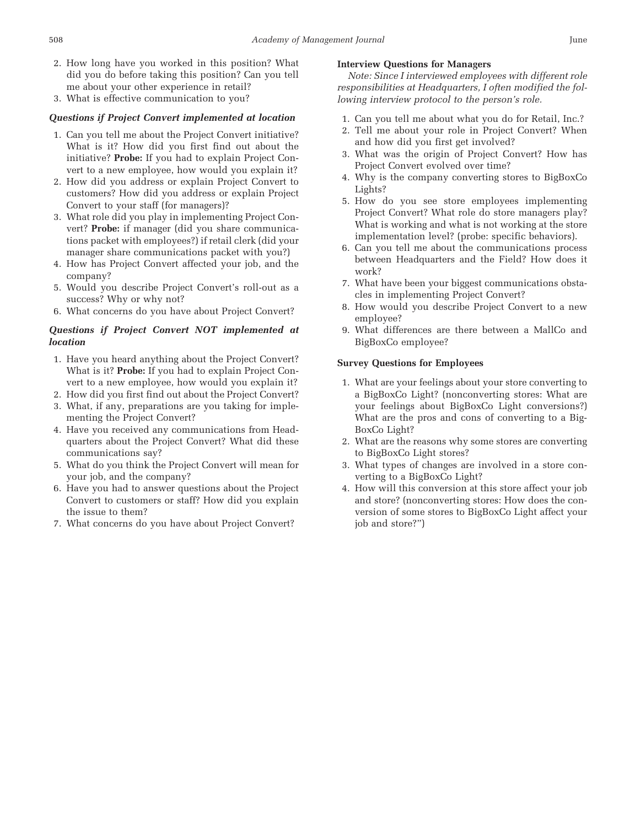- 2. How long have you worked in this position? What did you do before taking this position? Can you tell me about your other experience in retail?
- 3. What is effective communication to you?

#### *Questions if Project Convert implemented at location*

- 1. Can you tell me about the Project Convert initiative? What is it? How did you first find out about the initiative? **Probe:** If you had to explain Project Convert to a new employee, how would you explain it?
- 2. How did you address or explain Project Convert to customers? How did you address or explain Project Convert to your staff (for managers)?
- 3. What role did you play in implementing Project Convert? **Probe:** if manager (did you share communications packet with employees?) if retail clerk (did your manager share communications packet with you?)
- 4. How has Project Convert affected your job, and the company?
- 5. Would you describe Project Convert's roll-out as a success? Why or why not?
- 6. What concerns do you have about Project Convert?

## *Questions if Project Convert NOT implemented at location*

- 1. Have you heard anything about the Project Convert? What is it? **Probe:** If you had to explain Project Convert to a new employee, how would you explain it?
- 2. How did you first find out about the Project Convert?
- 3. What, if any, preparations are you taking for implementing the Project Convert?
- 4. Have you received any communications from Headquarters about the Project Convert? What did these communications say?
- 5. What do you think the Project Convert will mean for your job, and the company?
- 6. Have you had to answer questions about the Project Convert to customers or staff? How did you explain the issue to them?
- 7. What concerns do you have about Project Convert?

#### **Interview Questions for Managers**

*Note: Since I interviewed employees with different role responsibilities at Headquarters, I often modified the following interview protocol to the person's role.*

- 1. Can you tell me about what you do for Retail, Inc.?
- 2. Tell me about your role in Project Convert? When and how did you first get involved?
- 3. What was the origin of Project Convert? How has Project Convert evolved over time?
- 4. Why is the company converting stores to BigBoxCo Lights?
- 5. How do you see store employees implementing Project Convert? What role do store managers play? What is working and what is not working at the store implementation level? (probe: specific behaviors).
- 6. Can you tell me about the communications process between Headquarters and the Field? How does it work?
- 7. What have been your biggest communications obstacles in implementing Project Convert?
- 8. How would you describe Project Convert to a new employee?
- 9. What differences are there between a MallCo and BigBoxCo employee?

#### **Survey Questions for Employees**

- 1. What are your feelings about your store converting to a BigBoxCo Light? (nonconverting stores: What are your feelings about BigBoxCo Light conversions?) What are the pros and cons of converting to a Big-BoxCo Light?
- 2. What are the reasons why some stores are converting to BigBoxCo Light stores?
- 3. What types of changes are involved in a store converting to a BigBoxCo Light?
- 4. How will this conversion at this store affect your job and store? (nonconverting stores: How does the conversion of some stores to BigBoxCo Light affect your job and store?")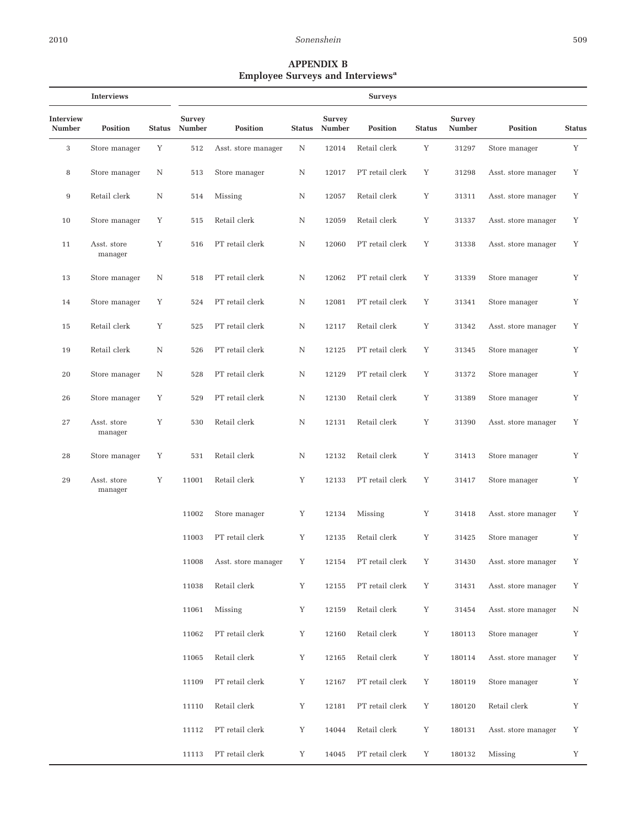# **APPENDIX B Employee Surveys and Interviewsa**

| <b>Interviews</b>   |                        |               | <b>Surveys</b>                 |                     |               |                                |                 |               |                                |                     |               |
|---------------------|------------------------|---------------|--------------------------------|---------------------|---------------|--------------------------------|-----------------|---------------|--------------------------------|---------------------|---------------|
| Interview<br>Number | <b>Position</b>        | <b>Status</b> | <b>Survey</b><br><b>Number</b> | <b>Position</b>     | <b>Status</b> | <b>Survey</b><br><b>Number</b> | <b>Position</b> | <b>Status</b> | <b>Survey</b><br><b>Number</b> | Position            | <b>Status</b> |
| 3                   | Store manager          | Y             | 512                            | Asst. store manager | Ν             | 12014                          | Retail clerk    | Y             | 31297                          | Store manager       | Y             |
| 8                   | Store manager          | N             | 513                            | Store manager       | Ν             | 12017                          | PT retail clerk | Y             | 31298                          | Asst. store manager | Y             |
| 9                   | Retail clerk           | N             | 514                            | Missing             | Ν             | 12057                          | Retail clerk    | Y             | 31311                          | Asst. store manager | Y             |
| 10                  | Store manager          | Y             | 515                            | Retail clerk        | Ν             | 12059                          | Retail clerk    | Y             | 31337                          | Asst. store manager | Υ             |
| 11                  | Asst. store<br>manager | Y             | 516                            | PT retail clerk     | N             | 12060                          | PT retail clerk | Y             | 31338                          | Asst. store manager | Y             |
| 13                  | Store manager          | N             | 518                            | PT retail clerk     | Ν             | 12062                          | PT retail clerk | Y             | 31339                          | Store manager       | Y             |
| 14                  | Store manager          | Y             | 524                            | PT retail clerk     | Ν             | 12081                          | PT retail clerk | Y             | 31341                          | Store manager       | Y             |
| 15                  | Retail clerk           | Y             | 525                            | PT retail clerk     | Ν             | 12117                          | Retail clerk    | Y             | 31342                          | Asst. store manager | Y             |
| 19                  | Retail clerk           | N             | 526                            | PT retail clerk     | Ν             | 12125                          | PT retail clerk | Υ             | 31345                          | Store manager       | Y             |
| 20                  | Store manager          | N             | 528                            | PT retail clerk     | Ν             | 12129                          | PT retail clerk | Y             | 31372                          | Store manager       | Y             |
| 26                  | Store manager          | Y             | 529                            | PT retail clerk     | N             | 12130                          | Retail clerk    | Y             | 31389                          | Store manager       | Y             |
| 27                  | Asst. store<br>manager | Y             | 530                            | Retail clerk        | Ν             | 12131                          | Retail clerk    | Y             | 31390                          | Asst. store manager | Y             |
| 28                  | Store manager          | Y             | 531                            | Retail clerk        | Ν             | 12132                          | Retail clerk    | Y             | 31413                          | Store manager       | Y             |
| 29                  | Asst. store<br>manager | Y             | 11001                          | Retail clerk        | Y             | 12133                          | PT retail clerk | Y             | 31417                          | Store manager       | Y             |
|                     |                        |               | 11002                          | Store manager       | Y             | 12134                          | Missing         | Y             | 31418                          | Asst. store manager | Y             |
|                     |                        |               | 11003                          | PT retail clerk     | Υ             | 12135                          | Retail clerk    | Y             | 31425                          | Store manager       | Y             |
|                     |                        |               | 11008                          | Asst. store manager | Υ             | 12154                          | PT retail clerk | Y             | 31430                          | Asst. store manager | Υ             |
|                     |                        |               | 11038                          | Retail clerk        | Υ             | 12155                          | PT retail clerk | Y             | 31431                          | Asst. store manager | Υ             |
|                     |                        |               | 11061                          | Missing             | Y             | 12159                          | Retail clerk    | Y             | 31454                          | Asst. store manager | Ν             |
|                     |                        |               | 11062                          | PT retail clerk     | Υ             | 12160                          | Retail clerk    | Y             | 180113                         | Store manager       | Y             |
|                     |                        |               | 11065                          | Retail clerk        | Y             | 12165                          | Retail clerk    | Y             | 180114                         | Asst. store manager | Y             |
|                     |                        |               | 11109                          | PT retail clerk     | Y             | 12167                          | PT retail clerk | Y             | 180119                         | Store manager       | Y             |
|                     |                        |               | 11110                          | Retail clerk        | Y             | 12181                          | PT retail clerk | Y             | 180120                         | Retail clerk        | Y             |
|                     |                        |               | 11112                          | PT retail clerk     | Υ             | 14044                          | Retail clerk    | Y             | 180131                         | Asst. store manager | Y             |
|                     |                        |               | 11113                          | PT retail clerk     | Υ             | 14045                          | PT retail clerk | Y             | 180132                         | Missing             | Y             |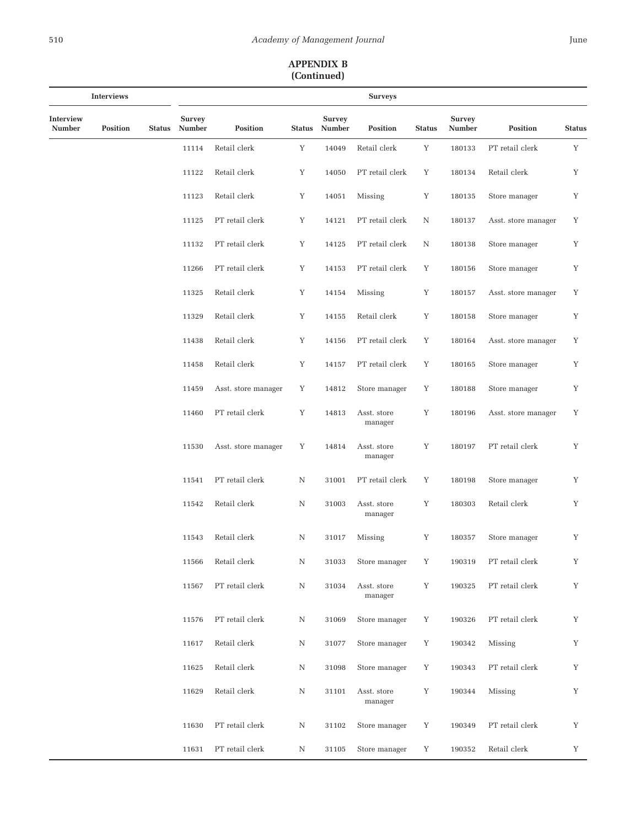### **APPENDIX B (Continued)**

| <b>Interviews</b>          |                 |               | <b>Surveys</b>                 |                     |               |                                |                                |               |                                |                     |               |
|----------------------------|-----------------|---------------|--------------------------------|---------------------|---------------|--------------------------------|--------------------------------|---------------|--------------------------------|---------------------|---------------|
| Interview<br><b>Number</b> | <b>Position</b> | <b>Status</b> | <b>Survey</b><br><b>Number</b> | <b>Position</b>     | <b>Status</b> | <b>Survey</b><br><b>Number</b> | <b>Position</b>                | <b>Status</b> | <b>Survey</b><br><b>Number</b> | Position            | <b>Status</b> |
|                            |                 |               | 11114                          | Retail clerk        | Y             | 14049                          | Retail clerk                   | Y             | 180133                         | PT retail clerk     | Y             |
|                            |                 |               | 11122                          | Retail clerk        | Y             | 14050                          | PT retail clerk                | Y             | 180134                         | Retail clerk        | Y             |
|                            |                 |               | 11123                          | Retail clerk        | Y             | 14051                          | Missing                        | Y             | 180135                         | Store manager       | Y             |
|                            |                 |               | 11125                          | PT retail clerk     | Y             | 14121                          | PT retail clerk                | Ν             | 180137                         | Asst. store manager | Y             |
|                            |                 |               | 11132                          | PT retail clerk     | Y             | 14125                          | PT retail clerk                | N             | 180138                         | Store manager       | Y             |
|                            |                 |               | 11266                          | PT retail clerk     | Y             | 14153                          | PT retail clerk                | Y             | 180156                         | Store manager       | Y             |
|                            |                 |               | 11325                          | Retail clerk        | Υ             | 14154                          | Missing                        | Y             | 180157                         | Asst. store manager | Y             |
|                            |                 |               | 11329                          | Retail clerk        | Y             | 14155                          | Retail clerk                   | Y             | 180158                         | Store manager       | Y             |
|                            |                 |               | 11438                          | Retail clerk        | Υ             | 14156                          | PT retail clerk                | Y             | 180164                         | Asst. store manager | Y             |
|                            |                 |               | 11458                          | Retail clerk        | Y             | 14157                          | PT retail clerk                | Y             | 180165                         | Store manager       | Y             |
|                            |                 |               | 11459                          | Asst. store manager | Y             | 14812                          | Store manager                  | Y             | 180188                         | Store manager       | Y             |
|                            |                 |               | 11460                          | PT retail clerk     | Y             | 14813                          | Asst. store<br>manager         | Y             | 180196                         | Asst. store manager | Y             |
|                            |                 |               | 11530                          | Asst. store manager | Y             | 14814                          | Asst. store<br>manager         | Y             | 180197                         | PT retail clerk     | Y             |
|                            |                 |               | 11541                          | PT retail clerk     | Ν             | 31001                          | PT retail clerk                | Y             | 180198                         | Store manager       | Y             |
|                            |                 |               | 11542                          | Retail clerk        | N             | 31003                          | Asst. store<br>manager         | Y             | 180303                         | Retail clerk        | Y             |
|                            |                 |               | 11543                          | Retail clerk        | N             | 31017                          | Missing                        | Y             | 180357                         | Store manager       | Y             |
|                            |                 |               | 11566                          | Retail clerk        | $\rm N$       | 31033                          | $\operatorname{Store}$ manager | Y             | 190319                         | PT retail clerk     | Y             |
|                            |                 |               | 11567                          | PT retail clerk     | $\mathbf N$   | 31034                          | Asst. store<br>manager         | Y             | 190325                         | PT retail clerk     | Y             |
|                            |                 |               | 11576                          | PT retail clerk     | N             | 31069                          | Store manager                  | Y             | 190326                         | PT retail clerk     | Y             |
|                            |                 |               | 11617                          | Retail clerk        | N             | 31077                          | Store manager                  | Y             | 190342                         | Missing             | Y             |
|                            |                 |               | 11625                          | Retail clerk        | N             | 31098                          | Store manager                  | Y             | 190343                         | PT retail clerk     | Y             |
|                            |                 |               | 11629                          | Retail clerk        | Ν             | 31101                          | Asst. store<br>manager         | Y             | 190344                         | Missing             | Y             |
|                            |                 |               | 11630                          | PT retail clerk     | N             | 31102                          | Store manager                  | Y             | 190349                         | PT retail clerk     | Y             |
|                            |                 |               | 11631                          | PT retail clerk     | N             | 31105                          | Store manager                  | Y             | 190352                         | Retail clerk        | Y             |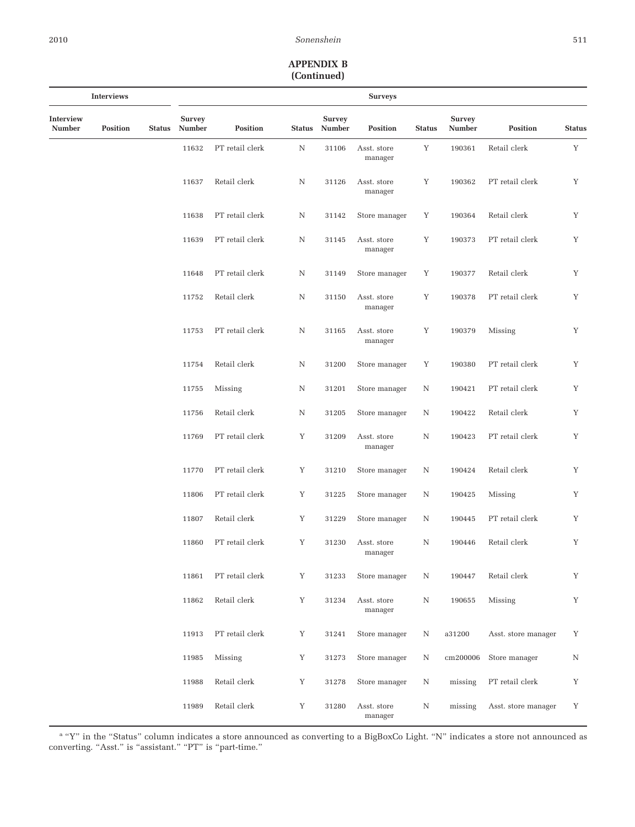| <b>Interviews</b>          |                 |               | <b>Surveys</b>                 |                 |               |                         |                        |               |                                |                     |               |
|----------------------------|-----------------|---------------|--------------------------------|-----------------|---------------|-------------------------|------------------------|---------------|--------------------------------|---------------------|---------------|
| Interview<br><b>Number</b> | <b>Position</b> | <b>Status</b> | <b>Survey</b><br><b>Number</b> | <b>Position</b> | <b>Status</b> | <b>Survey</b><br>Number | <b>Position</b>        | <b>Status</b> | <b>Survey</b><br><b>Number</b> | <b>Position</b>     | <b>Status</b> |
|                            |                 |               | 11632                          | PT retail clerk | Ν             | 31106                   | Asst. store<br>manager | Y             | 190361                         | Retail clerk        | Y             |
|                            |                 |               | 11637                          | Retail clerk    | Ν             | 31126                   | Asst. store<br>manager | Y             | 190362                         | PT retail clerk     | Y             |
|                            |                 |               | 11638                          | PT retail clerk | N             | 31142                   | Store manager          | Y             | 190364                         | Retail clerk        | Y             |
|                            |                 |               | 11639                          | PT retail clerk | Ν             | 31145                   | Asst. store<br>manager | Y             | 190373                         | PT retail clerk     | Y             |
|                            |                 |               | 11648                          | PT retail clerk | Ν             | 31149                   | Store manager          | Y             | 190377                         | Retail clerk        | Y             |
|                            |                 |               | 11752                          | Retail clerk    | Ν             | 31150                   | Asst. store<br>manager | Y             | 190378                         | PT retail clerk     | Y             |
|                            |                 |               | 11753                          | PT retail clerk | N             | 31165                   | Asst. store<br>manager | Y             | 190379                         | Missing             | Y             |
|                            |                 |               | 11754                          | Retail clerk    | Ν             | 31200                   | Store manager          | Y             | 190380                         | PT retail clerk     | Y             |
|                            |                 |               | 11755                          | Missing         | Ν             | 31201                   | Store manager          | Ν             | 190421                         | PT retail clerk     | Y             |
|                            |                 |               | 11756                          | Retail clerk    | Ν             | 31205                   | Store manager          | Ν             | 190422                         | Retail clerk        | Y             |
|                            |                 |               | 11769                          | PT retail clerk | Y             | 31209                   | Asst. store<br>manager | Ν             | 190423                         | PT retail clerk     | Y             |
|                            |                 |               | 11770                          | PT retail clerk | Y             | 31210                   | Store manager          | Ν             | 190424                         | Retail clerk        | Y             |
|                            |                 |               | 11806                          | PT retail clerk | Υ             | 31225                   | Store manager          | Ν             | 190425                         | Missing             | Y             |
|                            |                 |               | 11807                          | Retail clerk    | Υ             | 31229                   | Store manager          | Ν             | 190445                         | PT retail clerk     | Y             |
|                            |                 |               | 11860                          | PT retail clerk | Y             | 31230                   | Asst. store<br>manager | Ν             | 190446                         | Retail clerk        | Y             |
|                            |                 |               | 11861                          | PT retail clerk | Υ             | 31233                   | Store manager          | Ν             | 190447                         | Retail clerk        | Y             |
|                            |                 |               | 11862                          | Retail clerk    | Y             | 31234                   | Asst. store<br>manager | $\mathbf N$   | 190655                         | Missing             | Y             |
|                            |                 |               | 11913                          | PT retail clerk | Y             | 31241                   | Store manager          | Ν             | a31200                         | Asst. store manager | Y             |
|                            |                 |               | 11985                          | Missing         | Y             | 31273                   | Store manager          | Ν             | cm200006                       | Store manager       | N             |
|                            |                 |               | 11988                          | Retail clerk    | Y             | 31278                   | Store manager          | N             | missing                        | PT retail clerk     | Y             |
|                            |                 |               | 11989                          | Retail clerk    | Y             | 31280                   | Asst. store<br>manager | N             | missing                        | Asst. store manager | Y             |

<sup>a</sup> "Y" in the "Status" column indicates a store announced as converting to a BigBoxCo Light. "N" indicates a store not announced as converting. "Asst." is "assistant." "PT" is "part-time."